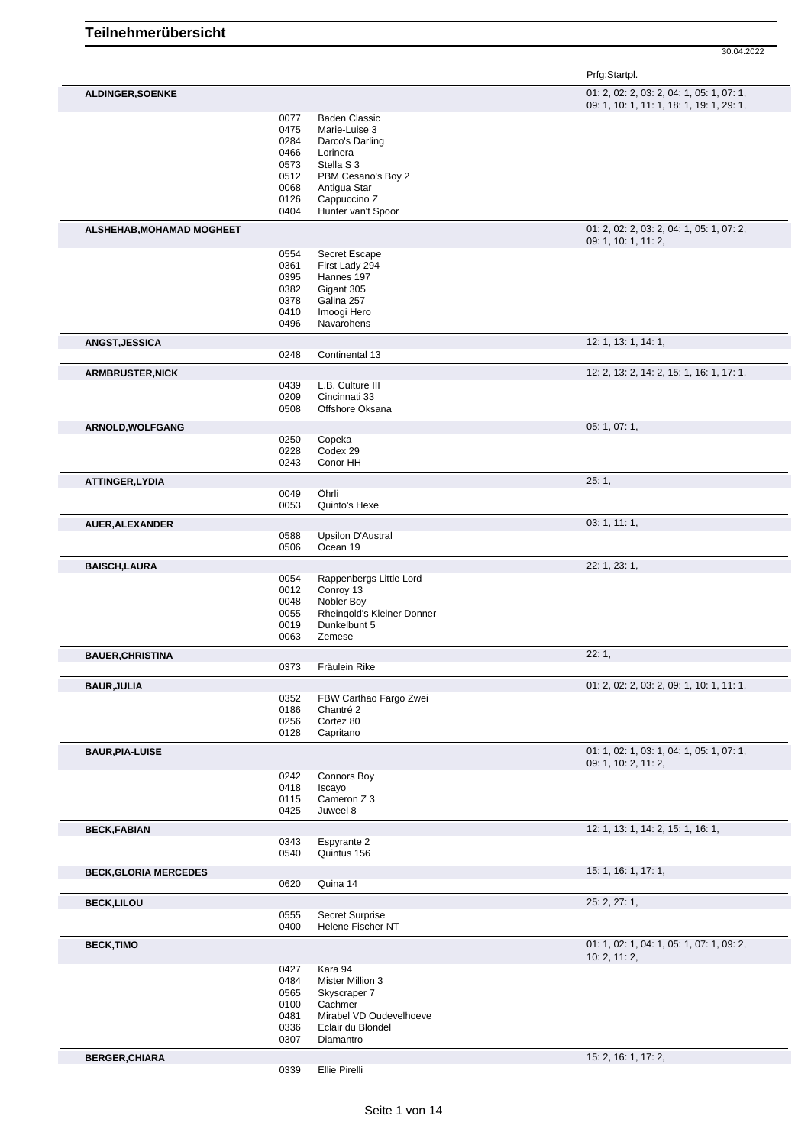|                              |              |                                      | Prfg:Startpl.                                                                          |
|------------------------------|--------------|--------------------------------------|----------------------------------------------------------------------------------------|
| <b>ALDINGER, SOENKE</b>      |              |                                      | 01: 2, 02: 2, 03: 2, 04: 1, 05: 1, 07: 1,<br>09: 1, 10: 1, 11: 1, 18: 1, 19: 1, 29: 1, |
|                              | 0077         | <b>Baden Classic</b>                 |                                                                                        |
|                              | 0475         | Marie-Luise 3                        |                                                                                        |
|                              | 0284<br>0466 | Darco's Darling<br>Lorinera          |                                                                                        |
|                              | 0573         | Stella S 3                           |                                                                                        |
|                              | 0512         | PBM Cesano's Boy 2                   |                                                                                        |
|                              | 0068         | Antigua Star                         |                                                                                        |
|                              | 0126         | Cappuccino Z                         |                                                                                        |
|                              | 0404         | Hunter van't Spoor                   |                                                                                        |
| ALSHEHAB, MOHAMAD MOGHEET    |              |                                      | 01: 2, 02: 2, 03: 2, 04: 1, 05: 1, 07: 2,<br>09: 1, 10: 1, 11: 2,                      |
|                              | 0554         | Secret Escape                        |                                                                                        |
|                              | 0361<br>0395 | First Lady 294<br>Hannes 197         |                                                                                        |
|                              | 0382         | Gigant 305                           |                                                                                        |
|                              | 0378         | Galina 257                           |                                                                                        |
|                              | 0410         | Imoogi Hero                          |                                                                                        |
|                              | 0496         | Navarohens                           |                                                                                        |
| <b>ANGST, JESSICA</b>        | 0248         | Continental 13                       | 12: 1, 13: 1, 14: 1,                                                                   |
| <b>ARMBRUSTER, NICK</b>      |              |                                      | 12: 2, 13: 2, 14: 2, 15: 1, 16: 1, 17: 1,                                              |
|                              | 0439         | L.B. Culture III                     |                                                                                        |
|                              | 0209         | Cincinnati 33                        |                                                                                        |
|                              | 0508         | Offshore Oksana                      |                                                                                        |
| ARNOLD, WOLFGANG             | 0250         | Copeka                               | 05: 1, 07: 1,                                                                          |
|                              | 0228         | Codex 29                             |                                                                                        |
|                              | 0243         | Conor HH                             |                                                                                        |
| ATTINGER, LYDIA              |              |                                      | 25:1,                                                                                  |
|                              | 0049<br>0053 | Öhrli<br>Quinto's Hexe               |                                                                                        |
| AUER, ALEXANDER              |              |                                      | 03: 1, 11: 1,                                                                          |
|                              | 0588         | <b>Upsilon D'Austral</b>             |                                                                                        |
|                              | 0506         | Ocean 19                             |                                                                                        |
| <b>BAISCH,LAURA</b>          |              |                                      | 22: 1, 23: 1,                                                                          |
|                              | 0054<br>0012 | Rappenbergs Little Lord<br>Conroy 13 |                                                                                        |
|                              | 0048         | Nobler Boy                           |                                                                                        |
|                              | 0055         | Rheingold's Kleiner Donner           |                                                                                        |
|                              | 0019         | Dunkelbunt 5                         |                                                                                        |
|                              | 0063         | Zemese                               |                                                                                        |
| <b>BAUER, CHRISTINA</b>      | 0373         | Fräulein Rike                        | 22:1,                                                                                  |
|                              |              |                                      |                                                                                        |
| <b>BAUR, JULIA</b>           | 0352         | FBW Carthao Fargo Zwei               | 01: 2, 02: 2, 03: 2, 09: 1, 10: 1, 11: 1,                                              |
|                              | 0186         | Chantré 2                            |                                                                                        |
|                              | 0256         | Cortez 80                            |                                                                                        |
|                              | 0128         | Capritano                            |                                                                                        |
| <b>BAUR, PIA-LUISE</b>       |              |                                      | 01: 1, 02: 1, 03: 1, 04: 1, 05: 1, 07: 1,<br>09: 1, 10: 2, 11: 2,                      |
|                              | 0242         | <b>Connors Boy</b>                   |                                                                                        |
|                              | 0418         | Iscayo                               |                                                                                        |
|                              | 0115<br>0425 | Cameron Z 3<br>Juweel 8              |                                                                                        |
| <b>BECK,FABIAN</b>           |              |                                      | 12: 1, 13: 1, 14: 2, 15: 1, 16: 1,                                                     |
|                              | 0343         | Espyrante 2                          |                                                                                        |
|                              | 0540         | Quintus 156                          |                                                                                        |
| <b>BECK, GLORIA MERCEDES</b> | 0620         | Quina 14                             | 15: 1, 16: 1, 17: 1,                                                                   |
| <b>BECK,LILOU</b>            |              |                                      | 25: 2, 27: 1,                                                                          |
|                              | 0555         | Secret Surprise                      |                                                                                        |
|                              | 0400         | Helene Fischer NT                    |                                                                                        |
| <b>BECK, TIMO</b>            |              |                                      | 01: 1, 02: 1, 04: 1, 05: 1, 07: 1, 09: 2,<br>10: 2, 11: 2,                             |
|                              | 0427         | Kara 94                              |                                                                                        |
|                              | 0484<br>0565 | Mister Million 3<br>Skyscraper 7     |                                                                                        |
|                              | 0100         | Cachmer                              |                                                                                        |
|                              | 0481         | Mirabel VD Oudevelhoeve              |                                                                                        |
|                              | 0336         | Eclair du Blondel                    |                                                                                        |
|                              | 0307         | Diamantro                            |                                                                                        |
| <b>BERGER, CHIARA</b>        |              |                                      | 15: 2, 16: 1, 17: 2,                                                                   |
|                              | 0339         | Ellie Pirelli                        |                                                                                        |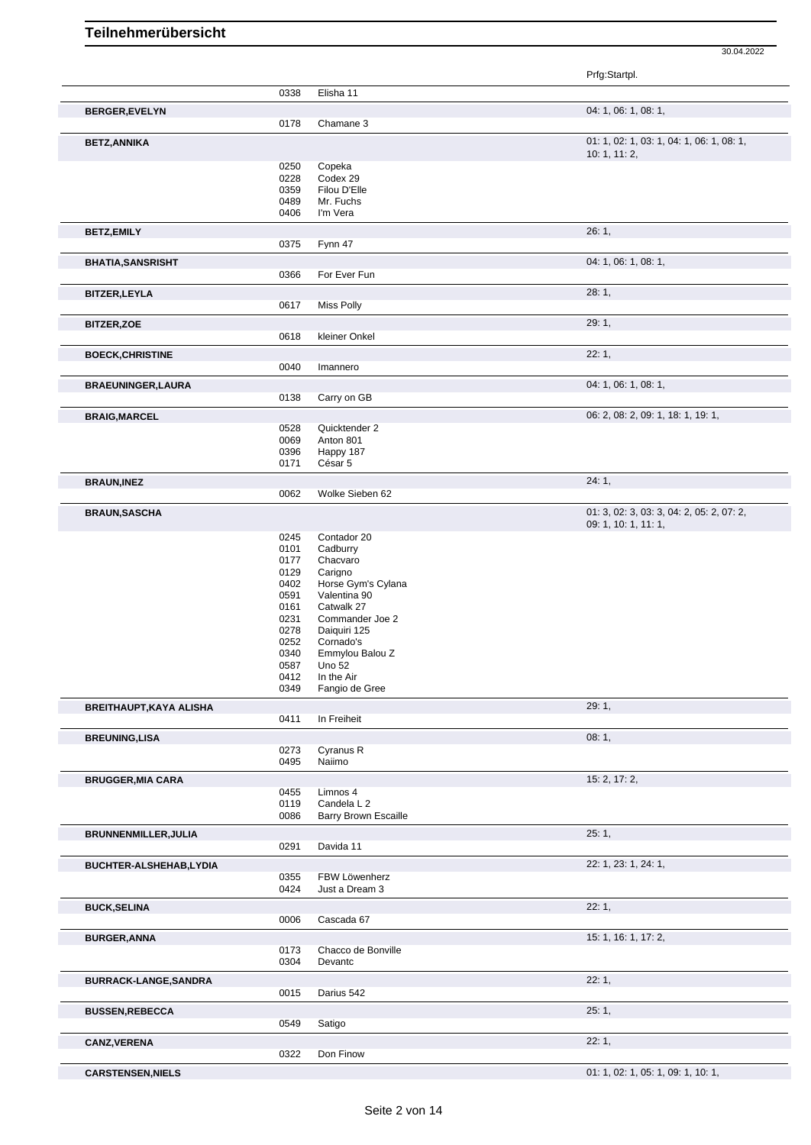|                                |              |                                 | 30.04.2022                                |
|--------------------------------|--------------|---------------------------------|-------------------------------------------|
|                                |              |                                 | Prfg:Startpl.                             |
|                                | 0338         | Elisha 11                       |                                           |
|                                |              |                                 | 04: 1, 06: 1, 08: 1,                      |
| <b>BERGER, EVELYN</b>          | 0178         | Chamane 3                       |                                           |
| <b>BETZ, ANNIKA</b>            |              |                                 | 01: 1, 02: 1, 03: 1, 04: 1, 06: 1, 08: 1, |
|                                |              |                                 | 10: 1, 11: 2,                             |
|                                | 0250<br>0228 | Copeka<br>Codex 29              |                                           |
|                                | 0359         | Filou D'Elle                    |                                           |
|                                | 0489         | Mr. Fuchs                       |                                           |
|                                | 0406         | I'm Vera                        |                                           |
| <b>BETZ,EMILY</b>              |              |                                 | 26:1,                                     |
|                                | 0375         | Fynn 47                         |                                           |
| <b>BHATIA, SANSRISHT</b>       |              |                                 | 04: 1, 06: 1, 08: 1,                      |
|                                | 0366         | For Ever Fun                    |                                           |
| <b>BITZER, LEYLA</b>           |              |                                 | 28:1,                                     |
|                                | 0617         | Miss Polly                      |                                           |
| <b>BITZER, ZOE</b>             |              |                                 | 29: 1,                                    |
|                                | 0618         | kleiner Onkel                   |                                           |
| <b>BOECK, CHRISTINE</b>        |              |                                 | 22:1,                                     |
|                                | 0040         | Imannero                        |                                           |
| <b>BRAEUNINGER, LAURA</b>      |              |                                 | 04: 1, 06: 1, 08: 1,                      |
|                                | 0138         | Carry on GB                     |                                           |
| <b>BRAIG, MARCEL</b>           |              |                                 | 06: 2, 08: 2, 09: 1, 18: 1, 19: 1,        |
|                                | 0528         | Quicktender 2                   |                                           |
|                                | 0069         | Anton 801                       |                                           |
|                                | 0396<br>0171 | Happy 187<br>César 5            |                                           |
|                                |              |                                 |                                           |
| <b>BRAUN, INEZ</b>             | 0062         | Wolke Sieben 62                 | 24:1,                                     |
|                                |              |                                 | 01: 3, 02: 3, 03: 3, 04: 2, 05: 2, 07: 2, |
| <b>BRAUN, SASCHA</b>           |              |                                 | 09: 1, 10: 1, 11: 1,                      |
|                                | 0245         | Contador 20                     |                                           |
|                                | 0101         | Cadburry                        |                                           |
|                                | 0177         | Chacvaro                        |                                           |
|                                | 0129         | Carigno                         |                                           |
|                                | 0402         | Horse Gym's Cylana              |                                           |
|                                | 0591         | Valentina 90                    |                                           |
|                                | 0161         | Catwalk 27                      |                                           |
|                                | 0231         | Commander Joe 2                 |                                           |
|                                | 0278         | Daiquiri 125                    |                                           |
|                                | 0252         | Cornado's                       |                                           |
|                                | 0340         | Emmylou Balou Z                 |                                           |
|                                | 0587         | Uno 52                          |                                           |
|                                | 0412         | In the Air                      |                                           |
|                                | 0349         | Fangio de Gree                  |                                           |
| <b>BREITHAUPT, KAYA ALISHA</b> |              |                                 | 29: 1,                                    |
|                                | 0411         | In Freiheit                     |                                           |
| <b>BREUNING, LISA</b>          |              |                                 | 08:1,                                     |
|                                | 0273<br>0495 | Cyranus R<br>Naiimo             |                                           |
| <b>BRUGGER, MIA CARA</b>       |              |                                 | 15: 2, 17: 2,                             |
|                                | 0455         | Limnos 4                        |                                           |
|                                | 0119         | Candela L 2                     |                                           |
|                                | 0086         | Barry Brown Escaille            |                                           |
| BRUNNENMILLER, JULIA           |              |                                 | 25:1,                                     |
|                                | 0291         | Davida 11                       |                                           |
| BUCHTER-ALSHEHAB,LYDIA         |              |                                 | 22: 1, 23: 1, 24: 1,                      |
|                                | 0355<br>0424 | FBW Löwenherz<br>Just a Dream 3 |                                           |
|                                |              |                                 |                                           |
| <b>BUCK, SELINA</b>            | 0006         | Cascada 67                      | 22:1,                                     |
|                                |              |                                 |                                           |
| <b>BURGER, ANNA</b>            | 0173         | Chacco de Bonville              | 15: 1, 16: 1, 17: 2,                      |
|                                | 0304         | Devantc                         |                                           |
| BURRACK-LANGE, SANDRA          |              |                                 | 22:1,                                     |
|                                | 0015         | Darius 542                      |                                           |
| <b>BUSSEN, REBECCA</b>         |              |                                 | 25:1,                                     |
|                                | 0549         | Satigo                          |                                           |
| <b>CANZ, VERENA</b>            |              |                                 | 22:1,                                     |
|                                | 0322         | Don Finow                       |                                           |
| <b>CARSTENSEN, NIELS</b>       |              |                                 | 01: 1, 02: 1, 05: 1, 09: 1, 10: 1,        |
|                                |              |                                 |                                           |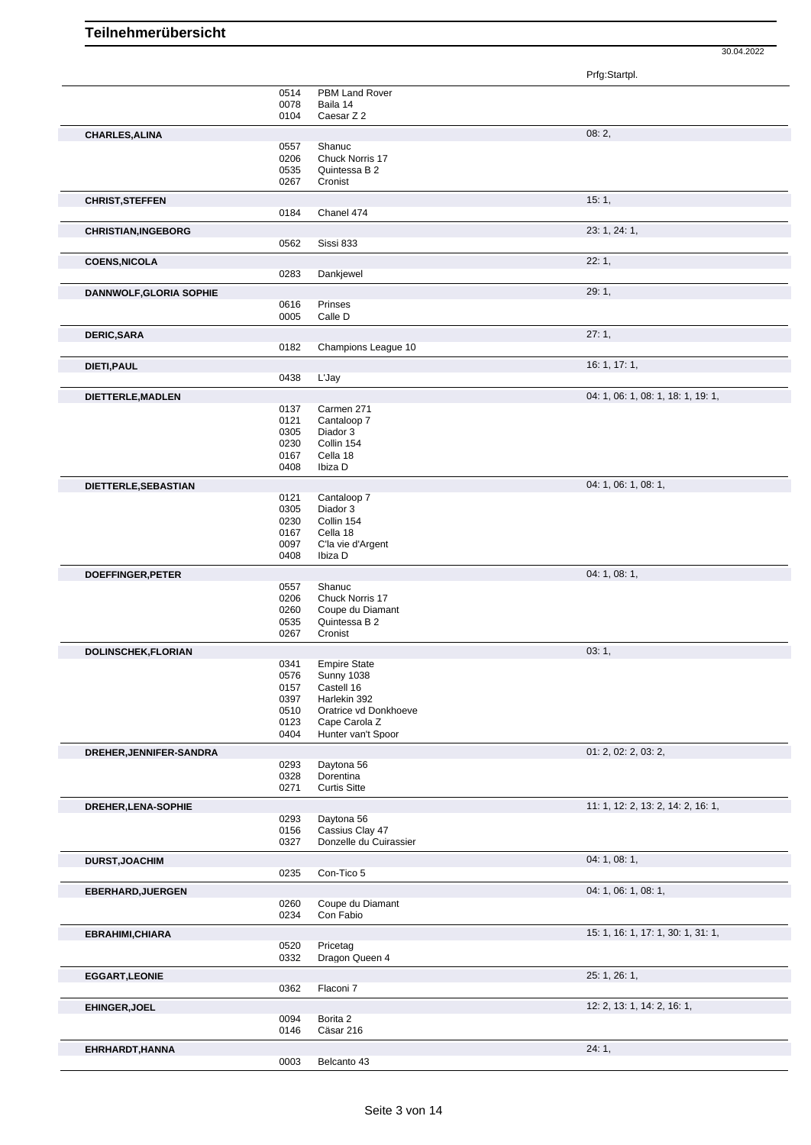|                                |              |                                  | Prfg:Startpl.                      |
|--------------------------------|--------------|----------------------------------|------------------------------------|
|                                | 0514         | PBM Land Rover                   |                                    |
|                                | 0078<br>0104 | Baila 14<br>Caesar Z 2           |                                    |
| <b>CHARLES, ALINA</b>          |              |                                  | 08:2,                              |
|                                | 0557         | Shanuc                           |                                    |
|                                | 0206         | Chuck Norris 17                  |                                    |
|                                | 0535         | Quintessa B 2                    |                                    |
|                                | 0267         | Cronist                          |                                    |
| <b>CHRIST, STEFFEN</b>         |              |                                  | 15:1,                              |
|                                | 0184         | Chanel 474                       |                                    |
| <b>CHRISTIAN, INGEBORG</b>     |              |                                  | 23: 1, 24: 1,                      |
|                                | 0562         | Sissi 833                        |                                    |
| <b>COENS, NICOLA</b>           |              |                                  | 22:1,                              |
|                                | 0283         | Dankjewel                        |                                    |
| <b>DANNWOLF, GLORIA SOPHIE</b> |              |                                  | 29:1,                              |
|                                | 0616         | Prinses                          |                                    |
|                                | 0005         | Calle D                          |                                    |
| <b>DERIC, SARA</b>             |              |                                  | 27:1,                              |
|                                | 0182         | Champions League 10              |                                    |
| DIETI, PAUL                    |              |                                  | 16: 1, 17: 1,                      |
|                                | 0438         | L'Jay                            |                                    |
| DIETTERLE, MADLEN              |              |                                  | 04: 1, 06: 1, 08: 1, 18: 1, 19: 1, |
|                                | 0137         | Carmen 271                       |                                    |
|                                | 0121<br>0305 | Cantaloop 7<br>Diador 3          |                                    |
|                                | 0230         | Collin 154                       |                                    |
|                                | 0167         | Cella 18                         |                                    |
|                                | 0408         | Ibiza D                          |                                    |
| DIETTERLE, SEBASTIAN           |              |                                  | 04: 1, 06: 1, 08: 1,               |
|                                | 0121         | Cantaloop 7                      |                                    |
|                                | 0305         | Diador 3                         |                                    |
|                                | 0230         | Collin 154                       |                                    |
|                                | 0167<br>0097 | Cella 18<br>C'la vie d'Argent    |                                    |
|                                | 0408         | Ibiza D                          |                                    |
|                                |              |                                  | 04: 1, 08: 1,                      |
| DOEFFINGER, PETER              | 0557         | Shanuc                           |                                    |
|                                | 0206         | Chuck Norris 17                  |                                    |
|                                | 0260         | Coupe du Diamant                 |                                    |
|                                | 0535         | Quintessa B 2                    |                                    |
|                                | 0267         | Cronist                          |                                    |
| DOLINSCHEK, FLORIAN            |              |                                  | 03:1,                              |
|                                | 0341         | <b>Empire State</b>              |                                    |
|                                | 0576<br>0157 | <b>Sunny 1038</b><br>Castell 16  |                                    |
|                                | 0397         | Harlekin 392                     |                                    |
|                                | 0510         | Oratrice vd Donkhoeve            |                                    |
|                                | 0123         | Cape Carola Z                    |                                    |
|                                | 0404         | Hunter van't Spoor               |                                    |
| DREHER, JENNIFER-SANDRA        |              |                                  | 01: 2, 02: 2, 03: 2,               |
|                                | 0293         | Daytona 56                       |                                    |
|                                | 0328<br>0271 | Dorentina<br><b>Curtis Sitte</b> |                                    |
|                                |              |                                  | 11: 1, 12: 2, 13: 2, 14: 2, 16: 1, |
| DREHER, LENA-SOPHIE            | 0293         | Daytona 56                       |                                    |
|                                | 0156         | Cassius Clay 47                  |                                    |
|                                | 0327         | Donzelle du Cuirassier           |                                    |
| <b>DURST, JOACHIM</b>          |              |                                  | 04: 1, 08: 1,                      |
|                                | 0235         | Con-Tico 5                       |                                    |
| <b>EBERHARD, JUERGEN</b>       |              |                                  | 04: 1, 06: 1, 08: 1,               |
|                                | 0260         | Coupe du Diamant                 |                                    |
|                                | 0234         | Con Fabio                        |                                    |
| <b>EBRAHIMI, CHIARA</b>        |              |                                  | 15: 1, 16: 1, 17: 1, 30: 1, 31: 1, |
|                                | 0520         | Pricetag                         |                                    |
|                                | 0332         | Dragon Queen 4                   |                                    |
| <b>EGGART, LEONIE</b>          |              |                                  | 25: 1, 26: 1,                      |
|                                | 0362         | Flaconi 7                        |                                    |
| <b>EHINGER, JOEL</b>           |              |                                  | 12: 2, 13: 1, 14: 2, 16: 1,        |
|                                | 0094         | Borita 2                         |                                    |
|                                | 0146         | Cäsar 216                        |                                    |
| EHRHARDT, HANNA                |              |                                  | 24:1,                              |
|                                | 0003         | Belcanto 43                      |                                    |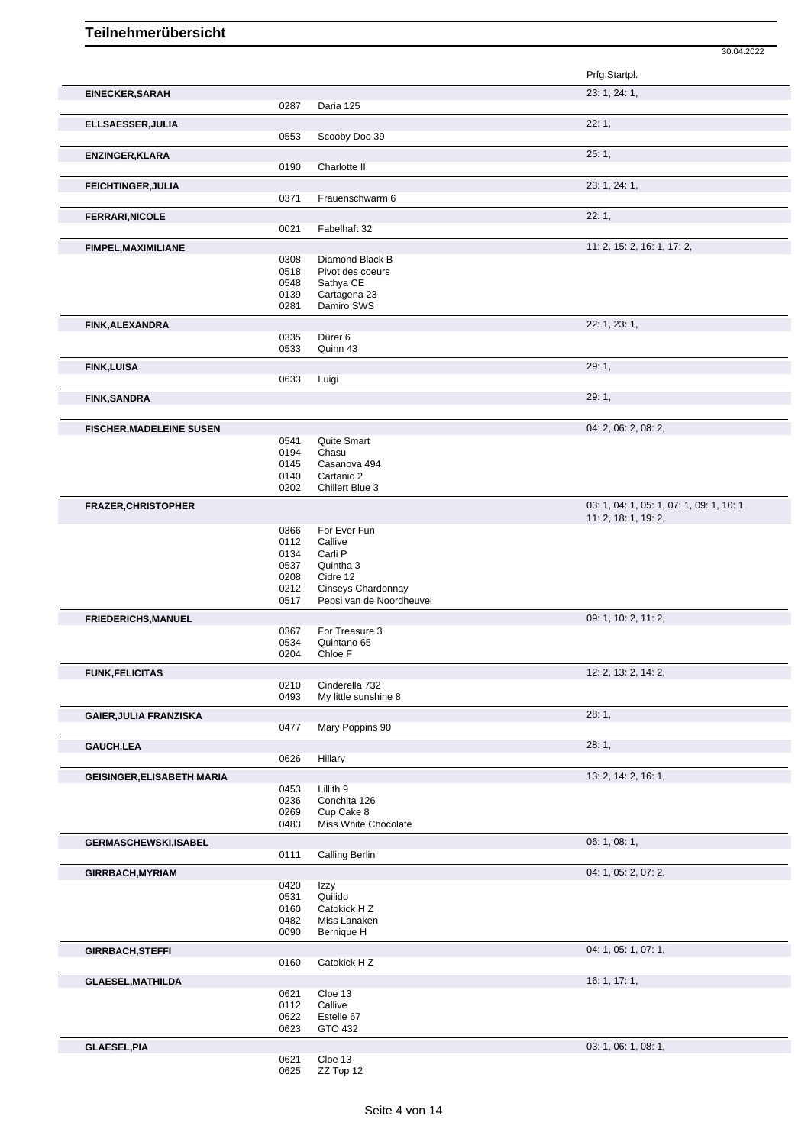|                                   |              |                               | 30.04.2022                                |
|-----------------------------------|--------------|-------------------------------|-------------------------------------------|
|                                   |              |                               | Prfg:Startpl.                             |
| <b>EINECKER, SARAH</b>            |              |                               | 23: 1, 24: 1,                             |
|                                   | 0287         | Daria 125                     |                                           |
| ELLSAESSER, JULIA                 |              |                               | 22:1,                                     |
|                                   | 0553         | Scooby Doo 39                 |                                           |
| <b>ENZINGER, KLARA</b>            |              |                               | 25:1,                                     |
|                                   | 0190         | Charlotte II                  |                                           |
| <b>FEICHTINGER, JULIA</b>         |              |                               | 23: 1, 24: 1,                             |
|                                   | 0371         | Frauenschwarm 6               |                                           |
| <b>FERRARI, NICOLE</b>            |              |                               | 22:1,                                     |
|                                   | 0021         | Fabelhaft 32                  |                                           |
| FIMPEL, MAXIMILIANE               |              |                               | 11: 2, 15: 2, 16: 1, 17: 2,               |
|                                   | 0308         | Diamond Black B               |                                           |
|                                   | 0518<br>0548 | Pivot des coeurs<br>Sathya CE |                                           |
|                                   | 0139         | Cartagena 23                  |                                           |
|                                   | 0281         | Damiro SWS                    |                                           |
| <b>FINK, ALEXANDRA</b>            |              |                               | 22: 1, 23: 1,                             |
|                                   | 0335         | Dürer 6                       |                                           |
|                                   | 0533         | Quinn 43                      |                                           |
| <b>FINK, LUISA</b>                |              |                               | 29:1,                                     |
|                                   | 0633         | Luigi                         |                                           |
| <b>FINK, SANDRA</b>               |              |                               | 29:1,                                     |
| <b>FISCHER, MADELEINE SUSEN</b>   |              |                               | 04: 2, 06: 2, 08: 2,                      |
|                                   | 0541         | Quite Smart                   |                                           |
|                                   | 0194         | Chasu                         |                                           |
|                                   | 0145         | Casanova 494                  |                                           |
|                                   | 0140<br>0202 | Cartanio 2<br>Chillert Blue 3 |                                           |
| <b>FRAZER, CHRISTOPHER</b>        |              |                               | 03: 1, 04: 1, 05: 1, 07: 1, 09: 1, 10: 1, |
|                                   |              |                               | 11: 2, 18: 1, 19: 2,                      |
|                                   | 0366         | For Ever Fun                  |                                           |
|                                   | 0112<br>0134 | Callive<br>Carli P            |                                           |
|                                   | 0537         | Quintha 3                     |                                           |
|                                   | 0208         | Cidre 12                      |                                           |
|                                   | 0212         | Cinseys Chardonnay            |                                           |
|                                   | 0517         | Pepsi van de Noordheuvel      |                                           |
| <b>FRIEDERICHS, MANUEL</b>        |              |                               | 09: 1, 10: 2, 11: 2,                      |
|                                   | 0367<br>0534 | For Treasure 3<br>Quintano 65 |                                           |
|                                   | 0204         | Chloe F                       |                                           |
| <b>FUNK, FELICITAS</b>            |              |                               | 12: 2, 13: 2, 14: 2,                      |
|                                   | 0210         | Cinderella 732                |                                           |
|                                   | 0493         | My little sunshine 8          |                                           |
| <b>GAIER, JULIA FRANZISKA</b>     |              |                               | 28:1,                                     |
|                                   | 0477         | Mary Poppins 90               |                                           |
| <b>GAUCH,LEA</b>                  | 0626         | Hillary                       | 28:1,                                     |
|                                   |              |                               | 13: 2, 14: 2, 16: 1,                      |
| <b>GEISINGER, ELISABETH MARIA</b> | 0453         | Lillith 9                     |                                           |
|                                   | 0236         | Conchita 126                  |                                           |
|                                   | 0269         | Cup Cake 8                    |                                           |
|                                   | 0483         | Miss White Chocolate          |                                           |
| <b>GERMASCHEWSKI,ISABEL</b>       | 0111         | <b>Calling Berlin</b>         | 06: 1, 08: 1,                             |
|                                   |              |                               |                                           |
| GIRRBACH, MYRIAM                  | 0420         | Izzy                          | 04: 1, 05: 2, 07: 2,                      |
|                                   | 0531         | Quilido                       |                                           |
|                                   | 0160         | Catokick H Z                  |                                           |
|                                   | 0482         | Miss Lanaken                  |                                           |
|                                   | 0090         | Bernique H                    |                                           |
| <b>GIRRBACH, STEFFI</b>           | 0160         | Catokick H Z                  | 04: 1, 05: 1, 07: 1,                      |
| <b>GLAESEL, MATHILDA</b>          |              |                               | 16: 1, 17: 1,                             |
|                                   | 0621         | Cloe 13                       |                                           |
|                                   | 0112         | Callive                       |                                           |
|                                   | 0622         | Estelle 67                    |                                           |
|                                   | 0623         | GTO 432                       |                                           |
| <b>GLAESEL, PIA</b>               |              |                               | 03: 1, 06: 1, 08: 1,                      |

 Cloe 13 ZZ Top 12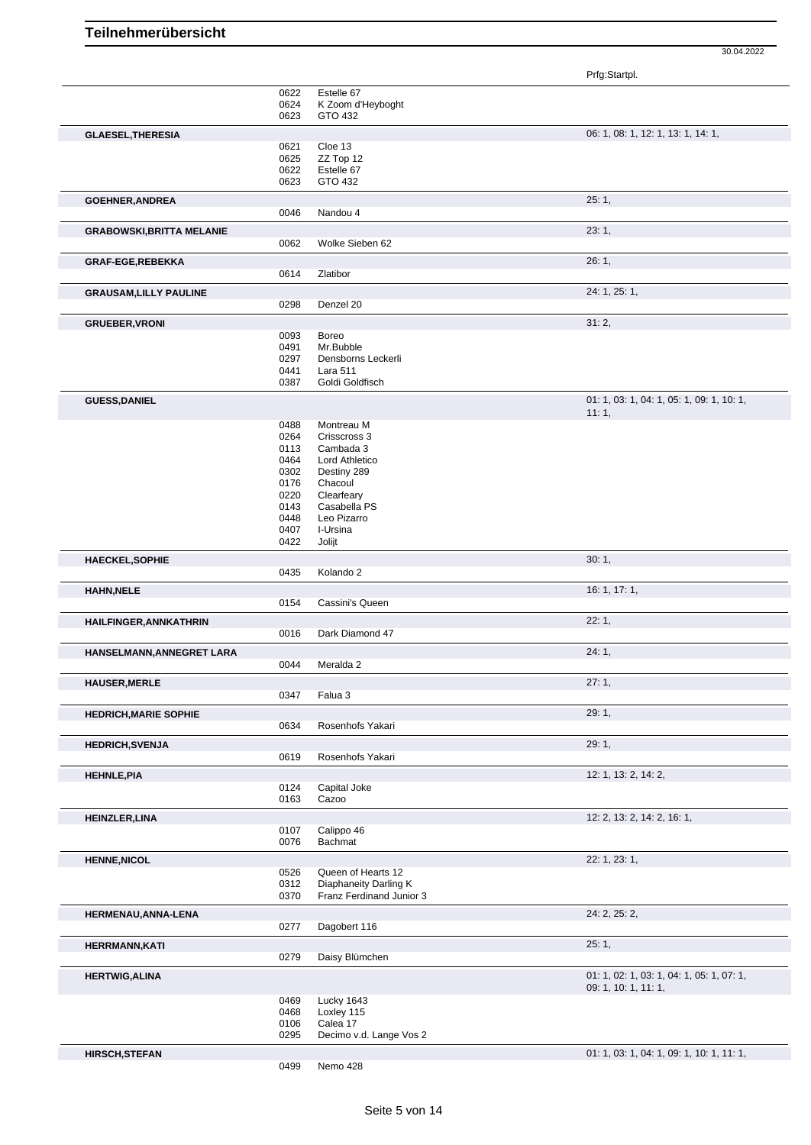|                                  |              |                                                   | Prfg:Startpl.                                      |
|----------------------------------|--------------|---------------------------------------------------|----------------------------------------------------|
|                                  | 0622         | Estelle 67                                        |                                                    |
|                                  | 0624         | K Zoom d'Heyboght<br>GTO 432                      |                                                    |
|                                  | 0623         |                                                   |                                                    |
| <b>GLAESEL, THERESIA</b>         |              |                                                   | 06: 1, 08: 1, 12: 1, 13: 1, 14: 1,                 |
|                                  | 0621<br>0625 | Cloe 13<br>ZZ Top 12                              |                                                    |
|                                  | 0622         | Estelle 67                                        |                                                    |
|                                  | 0623         | GTO 432                                           |                                                    |
|                                  |              |                                                   | 25:1,                                              |
| <b>GOEHNER, ANDREA</b>           | 0046         | Nandou 4                                          |                                                    |
|                                  |              |                                                   |                                                    |
| <b>GRABOWSKI, BRITTA MELANIE</b> | 0062         | Wolke Sieben 62                                   | 23:1,                                              |
|                                  |              |                                                   |                                                    |
| GRAF-EGE, REBEKKA                | 0614         | Zlatibor                                          | 26:1,                                              |
|                                  |              |                                                   |                                                    |
| <b>GRAUSAM, LILLY PAULINE</b>    |              |                                                   | 24: 1, 25: 1,                                      |
|                                  | 0298         | Denzel 20                                         |                                                    |
| <b>GRUEBER, VRONI</b>            |              |                                                   | 31:2,                                              |
|                                  | 0093         | <b>Boreo</b>                                      |                                                    |
|                                  | 0491         | Mr.Bubble                                         |                                                    |
|                                  | 0297         | Densborns Leckerli                                |                                                    |
|                                  | 0441<br>0387 | Lara 511<br>Goldi Goldfisch                       |                                                    |
|                                  |              |                                                   |                                                    |
| <b>GUESS, DANIEL</b>             |              |                                                   | 01: 1, 03: 1, 04: 1, 05: 1, 09: 1, 10: 1,<br>11:1, |
|                                  | 0488         | Montreau M                                        |                                                    |
|                                  | 0264         | Crisscross 3                                      |                                                    |
|                                  | 0113         | Cambada 3                                         |                                                    |
|                                  | 0464         | Lord Athletico                                    |                                                    |
|                                  | 0302         | Destiny 289                                       |                                                    |
|                                  | 0176         | Chacoul                                           |                                                    |
|                                  | 0220         | Clearfeary                                        |                                                    |
|                                  | 0143         | Casabella PS                                      |                                                    |
|                                  | 0448         | Leo Pizarro                                       |                                                    |
|                                  | 0407         | I-Ursina                                          |                                                    |
|                                  | 0422         | Jolijt                                            |                                                    |
| <b>HAECKEL,SOPHIE</b>            |              |                                                   | 30:1,                                              |
|                                  | 0435         | Kolando 2                                         |                                                    |
| <b>HAHN, NELE</b>                |              |                                                   | 16: 1, 17: 1,                                      |
|                                  | 0154         | Cassini's Queen                                   |                                                    |
| HAILFINGER, ANNKATHRIN           |              |                                                   | 22:1,                                              |
|                                  | 0016         | Dark Diamond 47                                   |                                                    |
| HANSELMANN, ANNEGRET LARA        |              |                                                   | 24:1,                                              |
|                                  | 0044         | Meralda <sub>2</sub>                              |                                                    |
| <b>HAUSER, MERLE</b>             |              |                                                   | 27:1,                                              |
|                                  | 0347         | Falua 3                                           |                                                    |
| <b>HEDRICH, MARIE SOPHIE</b>     |              |                                                   | 29: 1,                                             |
|                                  | 0634         | Rosenhofs Yakari                                  |                                                    |
| <b>HEDRICH, SVENJA</b>           |              |                                                   | 29: 1,                                             |
|                                  | 0619         | Rosenhofs Yakari                                  |                                                    |
| <b>HEHNLE, PIA</b>               |              |                                                   | 12: 1, 13: 2, 14: 2,                               |
|                                  | 0124         | Capital Joke                                      |                                                    |
|                                  | 0163         | Cazoo                                             |                                                    |
| <b>HEINZLER,LINA</b>             |              |                                                   | 12: 2, 13: 2, 14: 2, 16: 1,                        |
|                                  | 0107         | Calippo 46                                        |                                                    |
|                                  | 0076         | Bachmat                                           |                                                    |
| <b>HENNE, NICOL</b>              |              |                                                   | 22: 1, 23: 1,                                      |
|                                  | 0526         | Queen of Hearts 12                                |                                                    |
|                                  | 0312<br>0370 | Diaphaneity Darling K<br>Franz Ferdinand Junior 3 |                                                    |
|                                  |              |                                                   |                                                    |
| HERMENAU, ANNA-LENA              |              |                                                   | 24: 2, 25: 2,                                      |
|                                  | 0277         | Dagobert 116                                      |                                                    |
| <b>HERRMANN,KATI</b>             |              |                                                   | 25:1,                                              |
|                                  | 0279         | Daisy Blümchen                                    |                                                    |
| <b>HERTWIG, ALINA</b>            |              |                                                   | 01: 1, 02: 1, 03: 1, 04: 1, 05: 1, 07: 1,          |
|                                  |              |                                                   | 09: 1, 10: 1, 11: 1,                               |
|                                  | 0469<br>0468 | Lucky 1643<br>Loxley 115                          |                                                    |
|                                  | 0106         | Calea 17                                          |                                                    |
|                                  | 0295         | Decimo v.d. Lange Vos 2                           |                                                    |
|                                  |              |                                                   |                                                    |
| <b>HIRSCH,STEFAN</b>             | 0499         | Nemo 428                                          | 01: 1, 03: 1, 04: 1, 09: 1, 10: 1, 11: 1,          |
|                                  |              |                                                   |                                                    |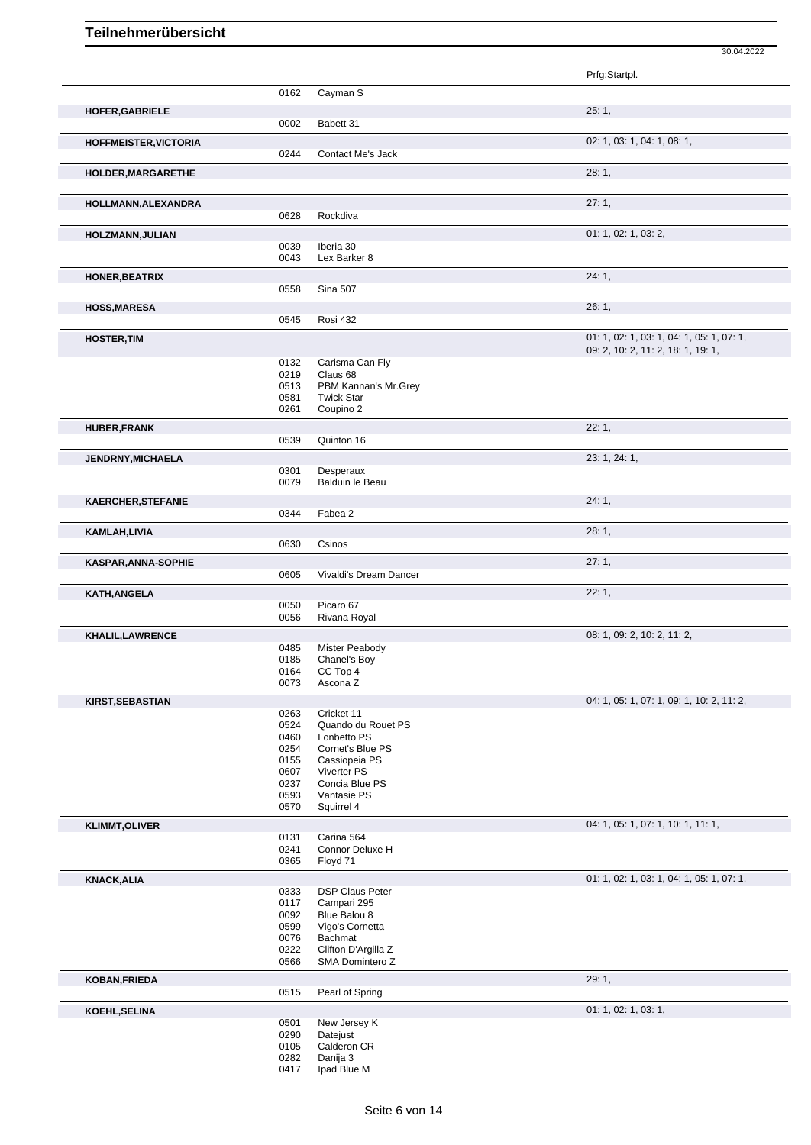Prfg:Startpl. 0162 Cayman S **HOFER,GABRIELE** 25: 1, 0002 Babett 31 **HOFFMEISTER,VICTORIA** 02: 1, 03: 1, 04: 1, 08: 1, 0244 Contact Me's Jack **HOLDER,MARGARETHE** 28: 1, **HOLLMANN,ALEXANDRA** 27: 1, 0628 Rockdiva **HOLZMANN,JULIAN** 01: 1, 02: 1, 03: 2, 0039 Iberia 30 0043 Lex Barker 8 **HONER,BEATRIX** 24: 1, 0558 Sina 507 **HOSS, MARESA** 26: 1, 0545 Rosi 432 **HOSTER,TIM** 01: 1, 02: 1, 03: 1, 04: 1, 05: 1, 07: 1, 05: 1, 07: 1, 05: 1, 07: 1, 05: 1, 07: 1, 07: 1, 07: 1, 09: 2, 10: 2, 11: 2, 18: 1, 19: 1, 0132 Carisma Can Fly<br>0219 Claus 68 0219 Claus 68 0513 PBM Kannan's Mr.Grey<br>0581 Twick Star 0581 Twick Star<br>0261 Coupino 2 Coupino 2 **HUBER,FRANK** 22: 1, 0539 Quinton 16 **JENDRNY,MICHAELA** 23: 1, 24: 1, 0301 Desperaux<br>0079 Balduin le P Balduin le Beau **KAERCHER,STEFANIE** 24: 1, Fabea 2 **KAMLAH,LIVIA** 28: 1, 0630 Csinos **KASPAR,ANNA-SOPHIE** 27: 1, 0605 Vivaldi's Dream Dancer **KATH,ANGELA** 22: 1, 0050 Picaro 67 0056 Rivana Royal **KHALIL,LAWRENCE** 08: 1, 09: 2, 10: 2, 11: 2, 0485 Mister Peabody<br>0185 Chanel's Boy 0185 Chanel's Boy<br>0164 CC Top 4 0164 CC Top 4<br>0073 Ascona Z Ascona Z **KIRST,SEBASTIAN** 0263 Cricket 11 05: 1, 05: 1, 05: 1, 07: 1, 09: 1, 10: 2, 11: 2, 0263 Cricket 11 0263 Cricket 11<br>0524 Quando di 0524 Quando du Rouet PS<br>0460 Lonbetto PS 0460 Lonbetto PS<br>0254 Cornet's Blue 0254 Cornet's Blue PS<br>0155 Cassiopeia PS 0155 Cassiopeia PS<br>0607 Viverter PS 0607 Viverter PS<br>0237 Concia Blue Concia Blue PS 0593 Vantasie PS<br>0570 Squirrel 4 Squirrel 4 **KLIMMT,OLIVER** 04: 1, 05: 1, 07: 1, 10: 1, 11: 1, 0131 Carina 564 0241 Connor Deluxe H 0365 Floyd 71 **KNACK,ALIA** 01: 1, 02: 1, 03: 1, 04: 1, 05: 1, 07: 1, 07: 1, 07: 1, 07: 1, 07: 1, 07: 1, 07: 1, 07: 1, 07: 1, 07: 1, 0333 DSP Claus Peter<br>0117 Campari 295 0117 Campari 295<br>0092 Blue Balou 8 Blue Balou 8 0599 Vigo's Cornetta<br>0076 Bachmat 0076 Bachmat<br>0222 Clifton D'. 0222 Clifton D'Argilla Z<br>0566 SMA Domintero Z SMA Domintero Z **KOBAN,FRIEDA** 29: 1, Pearl of Spring **KOEHL,SELINA** 01: 1, 02: 1, 03: 1, 03: 1, 03: 1, 03: 1, 03: 1, 03: 1, 03: 1, 03: 1, 03: 1, 03: 1, 03: 1, 03: 1, 03: 1, 03: 1, 03: 1, 03: 1, 03: 1, 03: 0501 0501 New Jersey K<br>0290 Datejust 0290 Datejust<br>0105 Calderon 0105 Calderon CR<br>0282 Danija 3

30.04.2022

Danija 3 0417 Ipad Blue M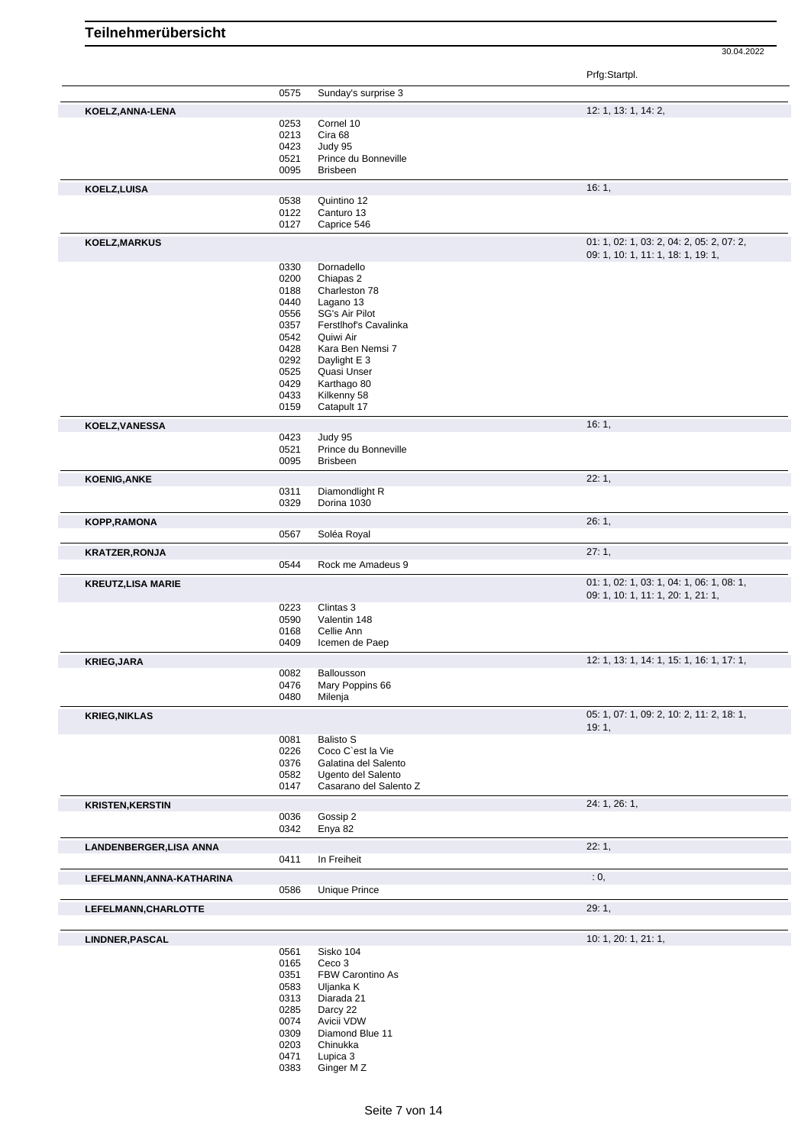|              |                                                                                                                                                                                                                      | Prfg:Startpl.                                                                                                                                                                                                                                                                                                                                                                                                                                                                                                   |
|--------------|----------------------------------------------------------------------------------------------------------------------------------------------------------------------------------------------------------------------|-----------------------------------------------------------------------------------------------------------------------------------------------------------------------------------------------------------------------------------------------------------------------------------------------------------------------------------------------------------------------------------------------------------------------------------------------------------------------------------------------------------------|
| 0575         | Sunday's surprise 3                                                                                                                                                                                                  |                                                                                                                                                                                                                                                                                                                                                                                                                                                                                                                 |
|              |                                                                                                                                                                                                                      | 12: 1, 13: 1, 14: 2,                                                                                                                                                                                                                                                                                                                                                                                                                                                                                            |
| 0253         | Cornel 10                                                                                                                                                                                                            |                                                                                                                                                                                                                                                                                                                                                                                                                                                                                                                 |
| 0213         | Cira 68                                                                                                                                                                                                              |                                                                                                                                                                                                                                                                                                                                                                                                                                                                                                                 |
|              |                                                                                                                                                                                                                      |                                                                                                                                                                                                                                                                                                                                                                                                                                                                                                                 |
|              |                                                                                                                                                                                                                      |                                                                                                                                                                                                                                                                                                                                                                                                                                                                                                                 |
|              |                                                                                                                                                                                                                      |                                                                                                                                                                                                                                                                                                                                                                                                                                                                                                                 |
|              |                                                                                                                                                                                                                      | 16:1,                                                                                                                                                                                                                                                                                                                                                                                                                                                                                                           |
|              |                                                                                                                                                                                                                      |                                                                                                                                                                                                                                                                                                                                                                                                                                                                                                                 |
|              |                                                                                                                                                                                                                      |                                                                                                                                                                                                                                                                                                                                                                                                                                                                                                                 |
|              |                                                                                                                                                                                                                      |                                                                                                                                                                                                                                                                                                                                                                                                                                                                                                                 |
|              |                                                                                                                                                                                                                      | 01: 1, 02: 1, 03: 2, 04: 2, 05: 2, 07: 2,                                                                                                                                                                                                                                                                                                                                                                                                                                                                       |
|              |                                                                                                                                                                                                                      | 09: 1, 10: 1, 11: 1, 18: 1, 19: 1,                                                                                                                                                                                                                                                                                                                                                                                                                                                                              |
|              |                                                                                                                                                                                                                      |                                                                                                                                                                                                                                                                                                                                                                                                                                                                                                                 |
| 0188         | Charleston 78                                                                                                                                                                                                        |                                                                                                                                                                                                                                                                                                                                                                                                                                                                                                                 |
| 0440         | Lagano 13                                                                                                                                                                                                            |                                                                                                                                                                                                                                                                                                                                                                                                                                                                                                                 |
| 0556         | SG's Air Pilot                                                                                                                                                                                                       |                                                                                                                                                                                                                                                                                                                                                                                                                                                                                                                 |
|              |                                                                                                                                                                                                                      |                                                                                                                                                                                                                                                                                                                                                                                                                                                                                                                 |
|              |                                                                                                                                                                                                                      |                                                                                                                                                                                                                                                                                                                                                                                                                                                                                                                 |
|              |                                                                                                                                                                                                                      |                                                                                                                                                                                                                                                                                                                                                                                                                                                                                                                 |
|              |                                                                                                                                                                                                                      |                                                                                                                                                                                                                                                                                                                                                                                                                                                                                                                 |
|              |                                                                                                                                                                                                                      |                                                                                                                                                                                                                                                                                                                                                                                                                                                                                                                 |
| 0433         |                                                                                                                                                                                                                      |                                                                                                                                                                                                                                                                                                                                                                                                                                                                                                                 |
| 0159         | Catapult 17                                                                                                                                                                                                          |                                                                                                                                                                                                                                                                                                                                                                                                                                                                                                                 |
|              |                                                                                                                                                                                                                      | 16:1,                                                                                                                                                                                                                                                                                                                                                                                                                                                                                                           |
| 0423         | Judy 95                                                                                                                                                                                                              |                                                                                                                                                                                                                                                                                                                                                                                                                                                                                                                 |
| 0521         | Prince du Bonneville                                                                                                                                                                                                 |                                                                                                                                                                                                                                                                                                                                                                                                                                                                                                                 |
| 0095         | <b>Brisbeen</b>                                                                                                                                                                                                      |                                                                                                                                                                                                                                                                                                                                                                                                                                                                                                                 |
|              |                                                                                                                                                                                                                      | 22:1,                                                                                                                                                                                                                                                                                                                                                                                                                                                                                                           |
| 0311         | Diamondlight R                                                                                                                                                                                                       |                                                                                                                                                                                                                                                                                                                                                                                                                                                                                                                 |
|              | Dorina 1030                                                                                                                                                                                                          |                                                                                                                                                                                                                                                                                                                                                                                                                                                                                                                 |
|              |                                                                                                                                                                                                                      | 26:1,                                                                                                                                                                                                                                                                                                                                                                                                                                                                                                           |
| 0567         | Soléa Royal                                                                                                                                                                                                          |                                                                                                                                                                                                                                                                                                                                                                                                                                                                                                                 |
|              |                                                                                                                                                                                                                      | 27:1,                                                                                                                                                                                                                                                                                                                                                                                                                                                                                                           |
| 0544         | Rock me Amadeus 9                                                                                                                                                                                                    |                                                                                                                                                                                                                                                                                                                                                                                                                                                                                                                 |
|              |                                                                                                                                                                                                                      | 01: 1, 02: 1, 03: 1, 04: 1, 06: 1, 08: 1,                                                                                                                                                                                                                                                                                                                                                                                                                                                                       |
|              |                                                                                                                                                                                                                      | 09: 1, 10: 1, 11: 1, 20: 1, 21: 1,                                                                                                                                                                                                                                                                                                                                                                                                                                                                              |
| 0223         | Clintas 3                                                                                                                                                                                                            |                                                                                                                                                                                                                                                                                                                                                                                                                                                                                                                 |
| 0590         | Valentin 148                                                                                                                                                                                                         |                                                                                                                                                                                                                                                                                                                                                                                                                                                                                                                 |
|              |                                                                                                                                                                                                                      |                                                                                                                                                                                                                                                                                                                                                                                                                                                                                                                 |
|              |                                                                                                                                                                                                                      |                                                                                                                                                                                                                                                                                                                                                                                                                                                                                                                 |
|              |                                                                                                                                                                                                                      | 12: 1, 13: 1, 14: 1, 15: 1, 16: 1, 17: 1,                                                                                                                                                                                                                                                                                                                                                                                                                                                                       |
|              |                                                                                                                                                                                                                      |                                                                                                                                                                                                                                                                                                                                                                                                                                                                                                                 |
|              |                                                                                                                                                                                                                      |                                                                                                                                                                                                                                                                                                                                                                                                                                                                                                                 |
|              |                                                                                                                                                                                                                      |                                                                                                                                                                                                                                                                                                                                                                                                                                                                                                                 |
|              |                                                                                                                                                                                                                      | 05: 1, 07: 1, 09: 2, 10: 2, 11: 2, 18: 1,                                                                                                                                                                                                                                                                                                                                                                                                                                                                       |
|              |                                                                                                                                                                                                                      | 19:1,                                                                                                                                                                                                                                                                                                                                                                                                                                                                                                           |
|              |                                                                                                                                                                                                                      |                                                                                                                                                                                                                                                                                                                                                                                                                                                                                                                 |
|              |                                                                                                                                                                                                                      |                                                                                                                                                                                                                                                                                                                                                                                                                                                                                                                 |
| 0582         |                                                                                                                                                                                                                      |                                                                                                                                                                                                                                                                                                                                                                                                                                                                                                                 |
| 0147         | Casarano del Salento Z                                                                                                                                                                                               |                                                                                                                                                                                                                                                                                                                                                                                                                                                                                                                 |
|              |                                                                                                                                                                                                                      | 24: 1, 26: 1,                                                                                                                                                                                                                                                                                                                                                                                                                                                                                                   |
| 0036         | Gossip 2                                                                                                                                                                                                             |                                                                                                                                                                                                                                                                                                                                                                                                                                                                                                                 |
| 0342         | Enya 82                                                                                                                                                                                                              |                                                                                                                                                                                                                                                                                                                                                                                                                                                                                                                 |
|              |                                                                                                                                                                                                                      | 22:1,                                                                                                                                                                                                                                                                                                                                                                                                                                                                                                           |
| 0411         | In Freiheit                                                                                                                                                                                                          |                                                                                                                                                                                                                                                                                                                                                                                                                                                                                                                 |
|              |                                                                                                                                                                                                                      | : 0,                                                                                                                                                                                                                                                                                                                                                                                                                                                                                                            |
|              |                                                                                                                                                                                                                      |                                                                                                                                                                                                                                                                                                                                                                                                                                                                                                                 |
|              |                                                                                                                                                                                                                      |                                                                                                                                                                                                                                                                                                                                                                                                                                                                                                                 |
|              |                                                                                                                                                                                                                      | 29:1,                                                                                                                                                                                                                                                                                                                                                                                                                                                                                                           |
|              |                                                                                                                                                                                                                      |                                                                                                                                                                                                                                                                                                                                                                                                                                                                                                                 |
|              |                                                                                                                                                                                                                      | 10: 1, 20: 1, 21: 1,                                                                                                                                                                                                                                                                                                                                                                                                                                                                                            |
|              |                                                                                                                                                                                                                      |                                                                                                                                                                                                                                                                                                                                                                                                                                                                                                                 |
|              |                                                                                                                                                                                                                      |                                                                                                                                                                                                                                                                                                                                                                                                                                                                                                                 |
| 0583         | Uljanka K                                                                                                                                                                                                            |                                                                                                                                                                                                                                                                                                                                                                                                                                                                                                                 |
|              |                                                                                                                                                                                                                      |                                                                                                                                                                                                                                                                                                                                                                                                                                                                                                                 |
| 0313         |                                                                                                                                                                                                                      |                                                                                                                                                                                                                                                                                                                                                                                                                                                                                                                 |
| 0285         | Darcy 22                                                                                                                                                                                                             |                                                                                                                                                                                                                                                                                                                                                                                                                                                                                                                 |
| 0074         | Avicii VDW                                                                                                                                                                                                           |                                                                                                                                                                                                                                                                                                                                                                                                                                                                                                                 |
| 0309         | Diamond Blue 11                                                                                                                                                                                                      |                                                                                                                                                                                                                                                                                                                                                                                                                                                                                                                 |
| 0203<br>0471 | Chinukka<br>Lupica 3                                                                                                                                                                                                 |                                                                                                                                                                                                                                                                                                                                                                                                                                                                                                                 |
|              | 0423<br>0521<br>0095<br>0538<br>0122<br>0127<br>0330<br>0200<br>0357<br>0542<br>0428<br>0292<br>0525<br>0429<br>0329<br>0168<br>0409<br>0082<br>0476<br>0480<br>0081<br>0226<br>0376<br>0586<br>0561<br>0165<br>0351 | Judy 95<br>Prince du Bonneville<br><b>Brisbeen</b><br>Quintino 12<br>Canturo 13<br>Caprice 546<br>Dornadello<br>Chiapas 2<br>Ferstlhof's Cavalinka<br>Quiwi Air<br>Kara Ben Nemsi 7<br>Daylight E 3<br>Quasi Unser<br>Karthago 80<br>Kilkenny 58<br>Cellie Ann<br>Icemen de Paep<br>Ballousson<br>Mary Poppins 66<br>Milenja<br><b>Balisto S</b><br>Coco C'est la Vie<br>Galatina del Salento<br>Ugento del Salento<br><b>Unique Prince</b><br>Sisko 104<br>Ceco <sub>3</sub><br>FBW Carontino As<br>Diarada 21 |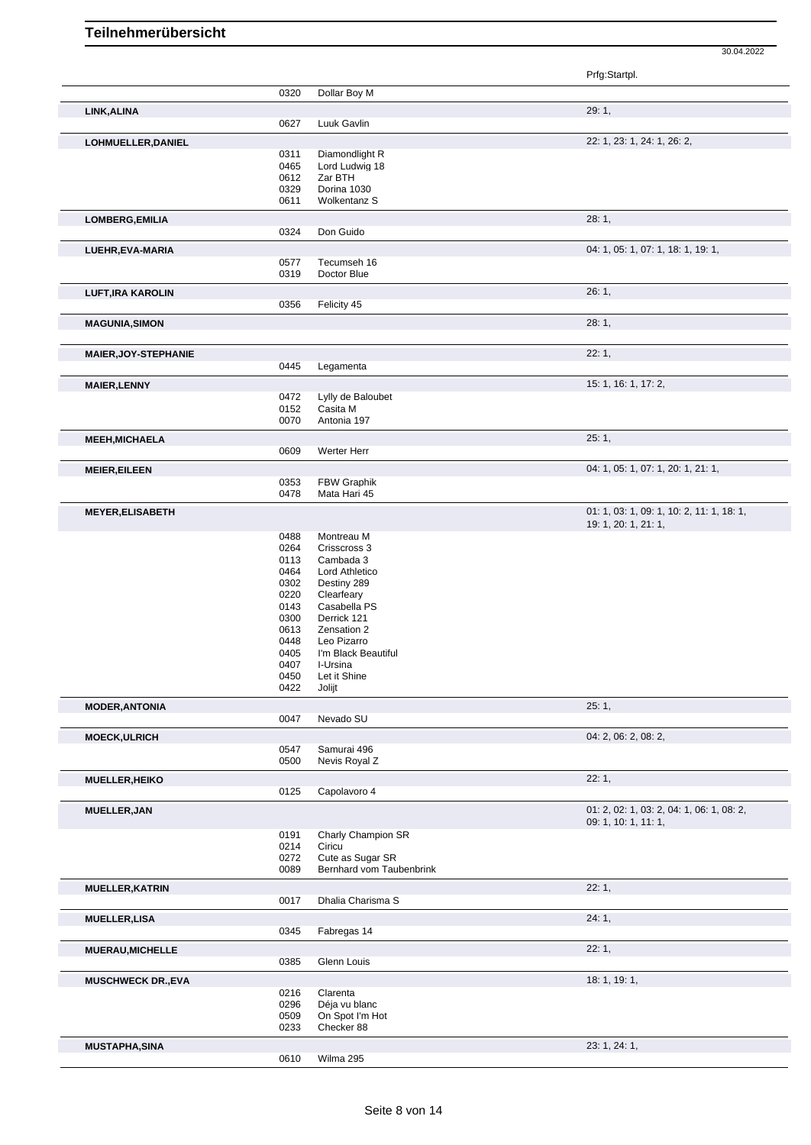|                             |              |                             | Prfg:Startpl.                             |
|-----------------------------|--------------|-----------------------------|-------------------------------------------|
|                             | 0320         | Dollar Boy M                |                                           |
| LINK, ALINA                 |              |                             | 29:1,                                     |
|                             | 0627         | Luuk Gavlin                 |                                           |
| LOHMUELLER, DANIEL          |              |                             | 22: 1, 23: 1, 24: 1, 26: 2,               |
|                             | 0311         | Diamondlight R              |                                           |
|                             | 0465<br>0612 | Lord Ludwig 18<br>Zar BTH   |                                           |
|                             | 0329         | Dorina 1030                 |                                           |
|                             | 0611         | Wolkentanz S                |                                           |
| LOMBERG, EMILIA             |              |                             | 28:1,                                     |
|                             | 0324         | Don Guido                   |                                           |
| LUEHR, EVA-MARIA            |              |                             | 04: 1, 05: 1, 07: 1, 18: 1, 19: 1,        |
|                             | 0577<br>0319 | Tecumseh 16<br>Doctor Blue  |                                           |
|                             |              |                             | 26:1,                                     |
| <b>LUFT, IRA KAROLIN</b>    | 0356         | Felicity 45                 |                                           |
| <b>MAGUNIA, SIMON</b>       |              |                             | 28:1,                                     |
|                             |              |                             |                                           |
| <b>MAIER, JOY-STEPHANIE</b> | 0445         | Legamenta                   | 22:1,                                     |
| <b>MAIER, LENNY</b>         |              |                             | 15: 1, 16: 1, 17: 2,                      |
|                             | 0472         | Lylly de Baloubet           |                                           |
|                             | 0152         | Casita M                    |                                           |
|                             | 0070         | Antonia 197                 |                                           |
| <b>MEEH, MICHAELA</b>       |              |                             | 25:1,                                     |
|                             | 0609         | Werter Herr                 |                                           |
| <b>MEIER, EILEEN</b>        |              |                             | 04: 1, 05: 1, 07: 1, 20: 1, 21: 1,        |
|                             | 0353<br>0478 | FBW Graphik<br>Mata Hari 45 |                                           |
| <b>MEYER, ELISABETH</b>     |              |                             | 01: 1, 03: 1, 09: 1, 10: 2, 11: 1, 18: 1, |
|                             |              |                             | 19: 1, 20: 1, 21: 1,                      |
|                             | 0488         | Montreau M                  |                                           |
|                             | 0264<br>0113 | Crisscross 3<br>Cambada 3   |                                           |
|                             | 0464         | Lord Athletico              |                                           |
|                             | 0302         | Destiny 289                 |                                           |
|                             | 0220         | Clearfeary                  |                                           |
|                             | 0143         | Casabella PS                |                                           |
|                             | 0300<br>0613 | Derrick 121<br>Zensation 2  |                                           |
|                             | 0448         | Leo Pizarro                 |                                           |
|                             | 0405         | I'm Black Beautiful         |                                           |
|                             | 0407         | I-Ursina                    |                                           |
|                             | 0450<br>0422 | Let it Shine                |                                           |
| <b>MODER, ANTONIA</b>       |              | Jolijt                      | 25:1,                                     |
|                             | 0047         | Nevado SU                   |                                           |
| <b>MOECK, ULRICH</b>        |              |                             | 04: 2, 06: 2, 08: 2,                      |
|                             | 0547         | Samurai 496                 |                                           |
|                             | 0500         | Nevis Royal Z               |                                           |
| <b>MUELLER, HEIKO</b>       | 0125         | Capolavoro 4                | 22:1,                                     |
| <b>MUELLER, JAN</b>         |              |                             | 01: 2, 02: 1, 03: 2, 04: 1, 06: 1, 08: 2, |
|                             |              |                             | 09: 1, 10: 1, 11: 1,                      |
|                             | 0191         | Charly Champion SR          |                                           |
|                             | 0214<br>0272 | Ciricu<br>Cute as Sugar SR  |                                           |
|                             | 0089         | Bernhard vom Taubenbrink    |                                           |
| <b>MUELLER, KATRIN</b>      |              |                             | 22:1,                                     |
|                             | 0017         | Dhalia Charisma S           |                                           |
| <b>MUELLER, LISA</b>        |              |                             | 24:1,                                     |
|                             | 0345         | Fabregas 14                 |                                           |
| <b>MUERAU, MICHELLE</b>     | 0385         | Glenn Louis                 | 22:1,                                     |
|                             |              |                             | 18: 1, 19: 1,                             |
| <b>MUSCHWECK DR., EVA</b>   | 0216         | Clarenta                    |                                           |
|                             | 0296         | Déja vu blanc               |                                           |
|                             | 0509         | On Spot I'm Hot             |                                           |
|                             | 0233         | Checker 88                  |                                           |
| <b>MUSTAPHA, SINA</b>       | 0610         | Wilma 295                   | 23: 1, 24: 1,                             |
|                             |              |                             |                                           |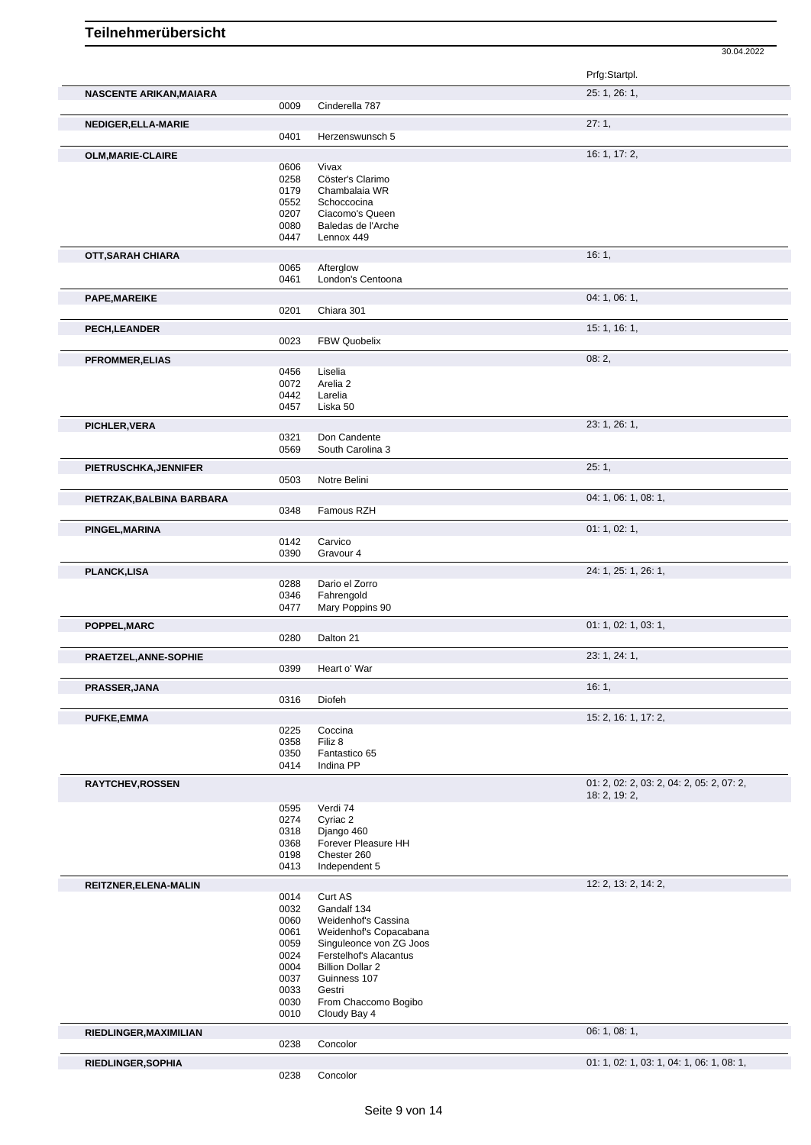|                           |              |                                | 30.04.2022                                                 |
|---------------------------|--------------|--------------------------------|------------------------------------------------------------|
|                           |              |                                | Prfg:Startpl.                                              |
| NASCENTE ARIKAN, MAIARA   |              |                                | 25: 1, 26: 1,                                              |
|                           | 0009         | Cinderella 787                 |                                                            |
| NEDIGER, ELLA-MARIE       | 0401         | Herzenswunsch 5                | 27:1,                                                      |
| OLM, MARIE-CLAIRE         |              |                                | 16: 1, 17: 2,                                              |
|                           | 0606         | Vivax                          |                                                            |
|                           | 0258         | Cöster's Clarimo               |                                                            |
|                           | 0179         | Chambalaia WR                  |                                                            |
|                           | 0552<br>0207 | Schoccocina<br>Ciacomo's Queen |                                                            |
|                           | 0080         | Baledas de l'Arche             |                                                            |
|                           | 0447         | Lennox 449                     |                                                            |
| OTT, SARAH CHIARA         |              |                                | 16:1,                                                      |
|                           | 0065         | Afterglow                      |                                                            |
|                           | 0461         | London's Centoona              |                                                            |
| PAPE, MAREIKE             |              |                                | 04: 1, 06: 1,                                              |
|                           | 0201         | Chiara 301                     |                                                            |
| PECH, LEANDER             |              |                                | 15:1, 16:1,                                                |
|                           | 0023         | <b>FBW Quobelix</b>            |                                                            |
| <b>PFROMMER, ELIAS</b>    |              |                                | 08:2,                                                      |
|                           | 0456         | Liselia                        |                                                            |
|                           | 0072         | Arelia 2                       |                                                            |
|                           | 0442<br>0457 | Larelia<br>Liska 50            |                                                            |
|                           |              |                                |                                                            |
| PICHLER, VERA             | 0321         | Don Candente                   | 23: 1, 26: 1,                                              |
|                           | 0569         | South Carolina 3               |                                                            |
|                           |              |                                | 25:1,                                                      |
| PIETRUSCHKA, JENNIFER     | 0503         | Notre Belini                   |                                                            |
|                           |              |                                | 04: 1, 06: 1, 08: 1,                                       |
| PIETRZAK, BALBINA BARBARA | 0348         | Famous RZH                     |                                                            |
|                           |              |                                |                                                            |
| PINGEL, MARINA            | 0142         | Carvico                        | 01: 1, 02: 1,                                              |
|                           | 0390         | Gravour 4                      |                                                            |
|                           |              |                                | 24: 1, 25: 1, 26: 1,                                       |
| <b>PLANCK,LISA</b>        | 0288         | Dario el Zorro                 |                                                            |
|                           | 0346         | Fahrengold                     |                                                            |
|                           | 0477         | Mary Poppins 90                |                                                            |
| POPPEL, MARC              |              |                                | 01: 1, 02: 1, 03: 1,                                       |
|                           | 0280         | Dalton 21                      |                                                            |
| PRAETZEL, ANNE-SOPHIE     |              |                                | 23: 1, 24: 1,                                              |
|                           | 0399         | Heart o' War                   |                                                            |
| PRASSER, JANA             |              |                                | 16:1,                                                      |
|                           | 0316         | Diofeh                         |                                                            |
| <b>PUFKE,EMMA</b>         |              |                                | 15: 2, 16: 1, 17: 2,                                       |
|                           | 0225         | Coccina                        |                                                            |
|                           | 0358         | Filiz 8                        |                                                            |
|                           | 0350<br>0414 | Fantastico 65<br>Indina PP     |                                                            |
|                           |              |                                |                                                            |
| <b>RAYTCHEV, ROSSEN</b>   |              |                                | 01: 2, 02: 2, 03: 2, 04: 2, 05: 2, 07: 2,<br>18: 2, 19: 2, |
|                           | 0595         | Verdi 74                       |                                                            |
|                           | 0274         | Cyriac 2                       |                                                            |
|                           | 0318         | Django 460                     |                                                            |
|                           | 0368         | Forever Pleasure HH            |                                                            |
|                           | 0198<br>0413 | Chester 260<br>Independent 5   |                                                            |
|                           |              |                                |                                                            |
| REITZNER, ELENA-MALIN     |              |                                | 12: 2, 13: 2, 14: 2,                                       |
|                           | 0014<br>0032 | Curt AS<br>Gandalf 134         |                                                            |
|                           | 0060         | Weidenhof's Cassina            |                                                            |
|                           | 0061         | Weidenhof's Copacabana         |                                                            |
|                           | 0059         | Singuleonce von ZG Joos        |                                                            |
|                           | 0024         | Ferstelhof's Alacantus         |                                                            |
|                           | 0004         | <b>Billion Dollar 2</b>        |                                                            |
|                           | 0037<br>0033 | Guinness 107<br>Gestri         |                                                            |
|                           | 0030         | From Chaccomo Bogibo           |                                                            |
|                           | 0010         | Cloudy Bay 4                   |                                                            |
| RIEDLINGER, MAXIMILIAN    |              |                                | 06: 1, 08: 1,                                              |
|                           | 0238         | Concolor                       |                                                            |
| RIEDLINGER, SOPHIA        |              |                                | 01: 1, 02: 1, 03: 1, 04: 1, 06: 1, 08: 1,                  |
|                           | 0238         | Concolor                       |                                                            |
|                           |              |                                |                                                            |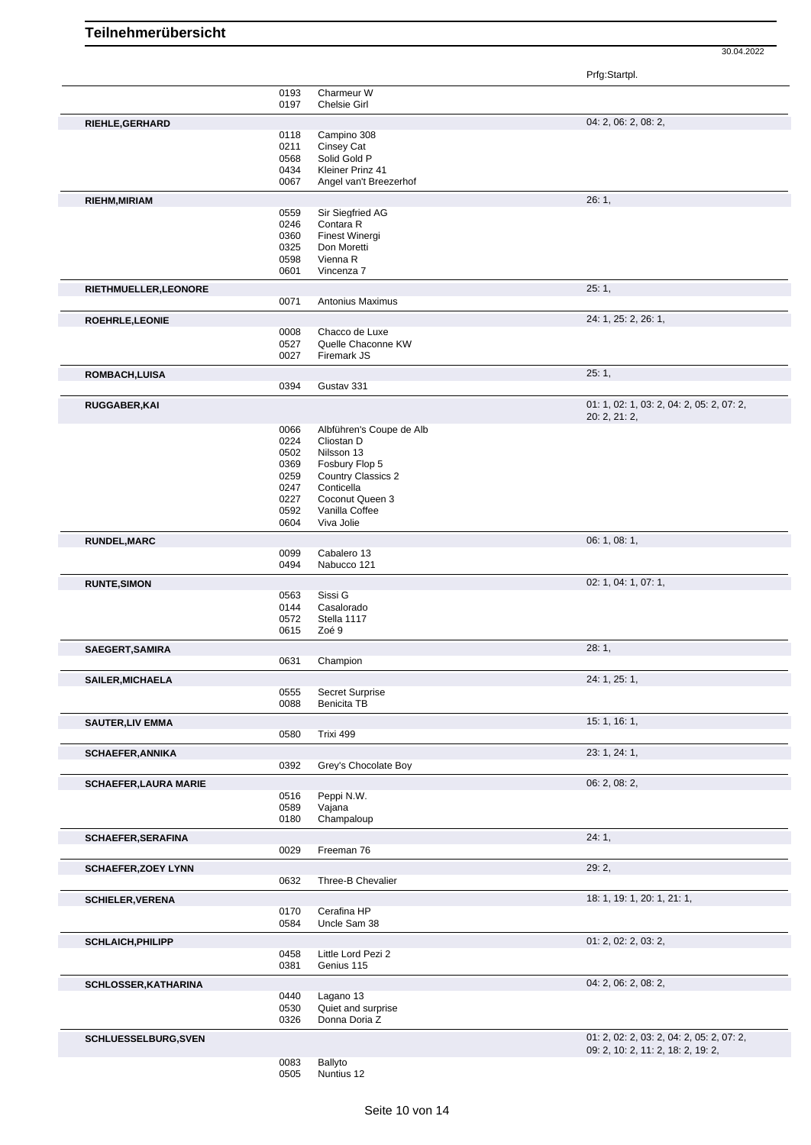Prfg:Startpl.

|                              | 0193                | Charmeur W                     |                                                            |
|------------------------------|---------------------|--------------------------------|------------------------------------------------------------|
| RIEHLE, GERHARD              | 0197                | <b>Chelsie Girl</b>            | 04: 2, 06: 2, 08: 2,                                       |
|                              | 0118                | Campino 308                    |                                                            |
|                              | 0211                | Cinsey Cat                     |                                                            |
|                              | 0568                | Solid Gold P                   |                                                            |
|                              | 0434                | Kleiner Prinz 41               |                                                            |
|                              | 0067                | Angel van't Breezerhof         |                                                            |
| RIEHM, MIRIAM                |                     |                                | 26:1,                                                      |
|                              | 0559                | Sir Siegfried AG               |                                                            |
|                              | 0246                | Contara R                      |                                                            |
|                              | 0360                | Finest Winergi                 |                                                            |
|                              | 0325                | Don Moretti                    |                                                            |
|                              | 0598<br>0601        | Vienna R<br>Vincenza 7         |                                                            |
| RIETHMUELLER, LEONORE        |                     |                                | 25:1,                                                      |
|                              | 0071                | Antonius Maximus               |                                                            |
| ROEHRLE, LEONIE              |                     |                                | 24: 1, 25: 2, 26: 1,                                       |
|                              | 0008                | Chacco de Luxe                 |                                                            |
|                              | 0527                | Quelle Chaconne KW             |                                                            |
|                              | 0027                | Firemark JS                    |                                                            |
| ROMBACH, LUISA               |                     |                                | 25:1,                                                      |
|                              | 0394                | Gustav 331                     |                                                            |
| <b>RUGGABER, KAI</b>         |                     |                                | 01: 1, 02: 1, 03: 2, 04: 2, 05: 2, 07: 2,<br>20: 2, 21: 2, |
|                              | 0066                | Albführen's Coupe de Alb       |                                                            |
|                              | 0224                | Cliostan D                     |                                                            |
|                              | 0502                | Nilsson 13                     |                                                            |
|                              | 0369                | Fosbury Flop 5                 |                                                            |
|                              | 0259                | <b>Country Classics 2</b>      |                                                            |
|                              | 0247                | Conticella                     |                                                            |
|                              | 0227                | Coconut Queen 3                |                                                            |
|                              | 0592<br>0604        | Vanilla Coffee<br>Viva Jolie   |                                                            |
|                              |                     |                                |                                                            |
| <b>RUNDEL, MARC</b>          | 0099                | Cabalero 13                    | 06: 1, 08: 1,                                              |
|                              | 0494                | Nabucco 121                    |                                                            |
| <b>RUNTE, SIMON</b>          |                     |                                | 02: 1, 04: 1, 07: 1,                                       |
|                              | 0563                | Sissi G                        |                                                            |
|                              | 0144                | Casalorado                     |                                                            |
|                              | 0572                | Stella 1117                    |                                                            |
|                              | 0615                | Zoé 9                          |                                                            |
| SAEGERT, SAMIRA              |                     |                                | 28:1,                                                      |
|                              | 0631                | Champion                       |                                                            |
| SAILER, MICHAELA             |                     |                                | 24: 1, 25: 1,                                              |
|                              | <b>U555</b><br>0088 | Secret Surprise<br>Benicita TB |                                                            |
| <b>SAUTER, LIV EMMA</b>      |                     |                                | 15: 1, 16: 1,                                              |
|                              | 0580                | Trixi 499                      |                                                            |
| <b>SCHAEFER, ANNIKA</b>      |                     |                                | 23: 1, 24: 1,                                              |
|                              | 0392                | Grey's Chocolate Boy           |                                                            |
| <b>SCHAEFER, LAURA MARIE</b> |                     |                                | 06: 2, 08: 2,                                              |
|                              | 0516                | Peppi N.W.                     |                                                            |
|                              | 0589<br>0180        | Vajana<br>Champaloup           |                                                            |
| <b>SCHAEFER, SERAFINA</b>    |                     |                                | 24:1,                                                      |
|                              | 0029                | Freeman 76                     |                                                            |
| <b>SCHAEFER, ZOEY LYNN</b>   |                     |                                | 29:2,                                                      |
|                              | 0632                | Three-B Chevalier              |                                                            |
| <b>SCHIELER, VERENA</b>      |                     |                                | 18: 1, 19: 1, 20: 1, 21: 1,                                |
|                              | 0170                | Cerafina HP                    |                                                            |
|                              | 0584                | Uncle Sam 38                   |                                                            |
| <b>SCHLAICH, PHILIPP</b>     |                     |                                | 01: 2, 02: 2, 03: 2,                                       |
|                              | 0458                | Little Lord Pezi 2             |                                                            |
|                              | 0381                | Genius 115                     |                                                            |
| SCHLOSSER, KATHARINA         |                     |                                | 04: 2, 06: 2, 08: 2,                                       |
|                              | 0440                | Lagano 13                      |                                                            |
|                              | 0530                | Quiet and surprise             |                                                            |
|                              | 0326                | Donna Doria Z                  |                                                            |
| <b>SCHLUESSELBURG, SVEN</b>  |                     |                                | 01: 2, 02: 2, 03: 2, 04: 2, 05: 2, 07: 2,                  |
|                              |                     |                                | 09: 2, 10: 2, 11: 2, 18: 2, 19: 2,                         |
|                              | 0083                | Ballyto                        |                                                            |

Seite 10 von 14

Nuntius 12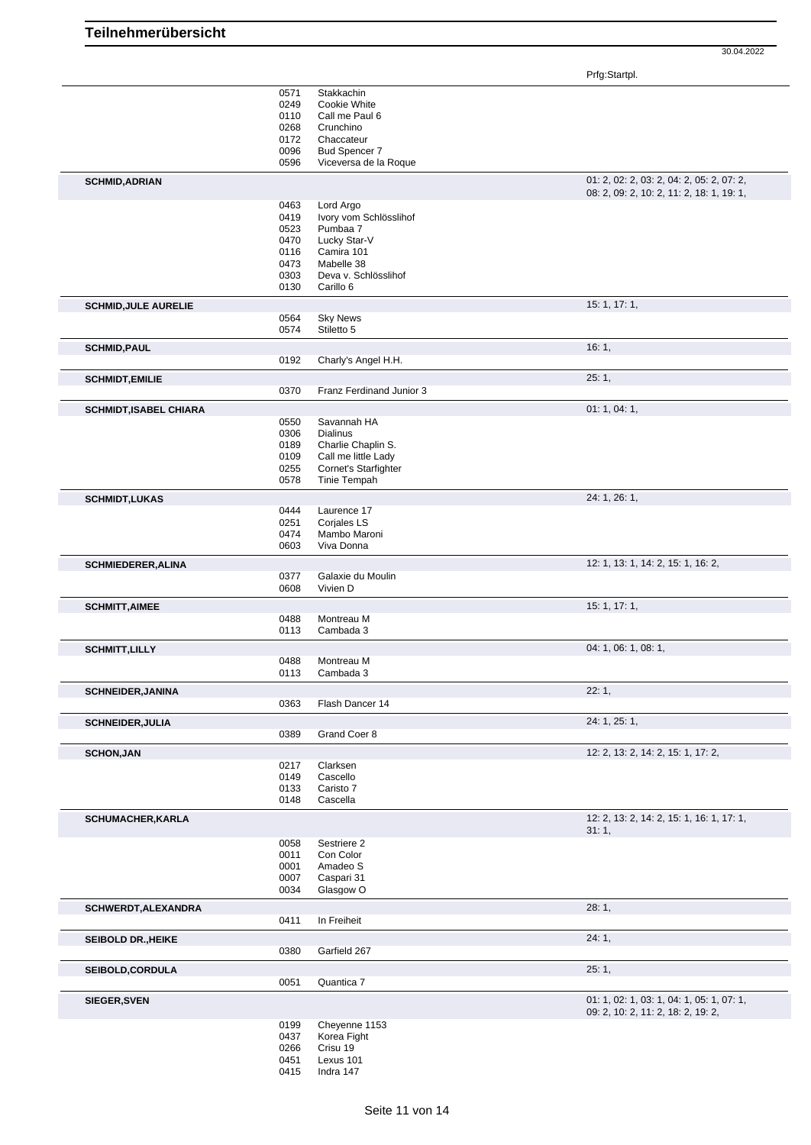Prfg:Startpl.

|                               | 0571<br>0249 | Stakkachin<br>Cookie White          |                                                                                        |
|-------------------------------|--------------|-------------------------------------|----------------------------------------------------------------------------------------|
|                               | 0110<br>0268 | Call me Paul 6<br>Crunchino         |                                                                                        |
|                               | 0172         | Chaccateur                          |                                                                                        |
|                               | 0096         | Bud Spencer 7                       |                                                                                        |
|                               | 0596         | Viceversa de la Roque               |                                                                                        |
| <b>SCHMID, ADRIAN</b>         |              |                                     | 01: 2, 02: 2, 03: 2, 04: 2, 05: 2, 07: 2,<br>08: 2, 09: 2, 10: 2, 11: 2, 18: 1, 19: 1, |
|                               | 0463<br>0419 | Lord Argo<br>Ivory vom Schlösslihof |                                                                                        |
|                               | 0523         | Pumbaa 7                            |                                                                                        |
|                               | 0470         | Lucky Star-V                        |                                                                                        |
|                               | 0116         | Camira 101                          |                                                                                        |
|                               | 0473         | Mabelle 38                          |                                                                                        |
|                               | 0303<br>0130 | Deva v. Schlösslihof<br>Carillo 6   |                                                                                        |
| <b>SCHMID, JULE AURELIE</b>   |              |                                     | 15:1, 17:1,                                                                            |
|                               | 0564         | <b>Sky News</b>                     |                                                                                        |
|                               | 0574         | Stiletto 5                          |                                                                                        |
| <b>SCHMID, PAUL</b>           |              |                                     | 16:1,                                                                                  |
|                               | 0192         | Charly's Angel H.H.                 |                                                                                        |
| <b>SCHMIDT, EMILIE</b>        |              |                                     | 25:1,                                                                                  |
|                               | 0370         | Franz Ferdinand Junior 3            |                                                                                        |
| <b>SCHMIDT, ISABEL CHIARA</b> |              |                                     | 01:1,04:1,                                                                             |
|                               | 0550<br>0306 | Savannah HA<br><b>Dialinus</b>      |                                                                                        |
|                               | 0189         | Charlie Chaplin S.                  |                                                                                        |
|                               | 0109         | Call me little Lady                 |                                                                                        |
|                               | 0255         | Cornet's Starfighter                |                                                                                        |
|                               | 0578         | Tinie Tempah                        |                                                                                        |
| <b>SCHMIDT,LUKAS</b>          |              |                                     | 24: 1, 26: 1,                                                                          |
|                               | 0444         | Laurence 17                         |                                                                                        |
|                               | 0251         | Corjales LS                         |                                                                                        |
|                               | 0474<br>0603 | Mambo Maroni<br>Viva Donna          |                                                                                        |
|                               |              |                                     |                                                                                        |
| <b>SCHMIEDERER, ALINA</b>     | 0377         | Galaxie du Moulin                   | 12: 1, 13: 1, 14: 2, 15: 1, 16: 2,                                                     |
|                               | 0608         | Vivien D                            |                                                                                        |
| <b>SCHMITT, AIMEE</b>         |              |                                     | 15: 1, 17: 1,                                                                          |
|                               | 0488         | Montreau M                          |                                                                                        |
|                               | 0113         | Cambada 3                           |                                                                                        |
| <b>SCHMITT, LILLY</b>         |              |                                     | 04: 1, 06: 1, 08: 1,                                                                   |
|                               | 0488         | Montreau M                          |                                                                                        |
|                               | 0113         | Cambada 3                           |                                                                                        |
| <b>SCHNEIDER, JANINA</b>      | 0363         |                                     | 22:1,                                                                                  |
|                               |              | Flash Dancer 14                     |                                                                                        |
| <b>SCHNEIDER, JULIA</b>       | 0389         | Grand Coer 8                        | 24: 1, 25: 1,                                                                          |
|                               |              |                                     |                                                                                        |
| <b>SCHON, JAN</b>             | 0217         | Clarksen                            | 12: 2, 13: 2, 14: 2, 15: 1, 17: 2,                                                     |
|                               | 0149         | Cascello                            |                                                                                        |
|                               | 0133         | Caristo 7                           |                                                                                        |
|                               | 0148         | Cascella                            |                                                                                        |
| <b>SCHUMACHER, KARLA</b>      |              |                                     | 12: 2, 13: 2, 14: 2, 15: 1, 16: 1, 17: 1,<br>31:1,                                     |
|                               | 0058         | Sestriere 2                         |                                                                                        |
|                               | 0011         | Con Color                           |                                                                                        |
|                               | 0001<br>0007 | Amadeo S<br>Caspari 31              |                                                                                        |
|                               | 0034         | Glasgow O                           |                                                                                        |
| SCHWERDT, ALEXANDRA           |              |                                     | 28:1,                                                                                  |
|                               | 0411         | In Freiheit                         |                                                                                        |
| <b>SEIBOLD DR., HEIKE</b>     |              |                                     | 24:1,                                                                                  |
|                               | 0380         | Garfield 267                        |                                                                                        |
| <b>SEIBOLD,CORDULA</b>        |              |                                     | 25:1,                                                                                  |
|                               | 0051         | Quantica 7                          |                                                                                        |
| <b>SIEGER, SVEN</b>           |              |                                     | 01: 1, 02: 1, 03: 1, 04: 1, 05: 1, 07: 1,                                              |
|                               |              |                                     | 09: 2, 10: 2, 11: 2, 18: 2, 19: 2,                                                     |
|                               | 0199<br>0437 | Cheyenne 1153<br>Korea Fight        |                                                                                        |
|                               | 0266         | Crisu 19                            |                                                                                        |
|                               | 0451         | Lexus 101                           |                                                                                        |
|                               | 0415         | Indra 147                           |                                                                                        |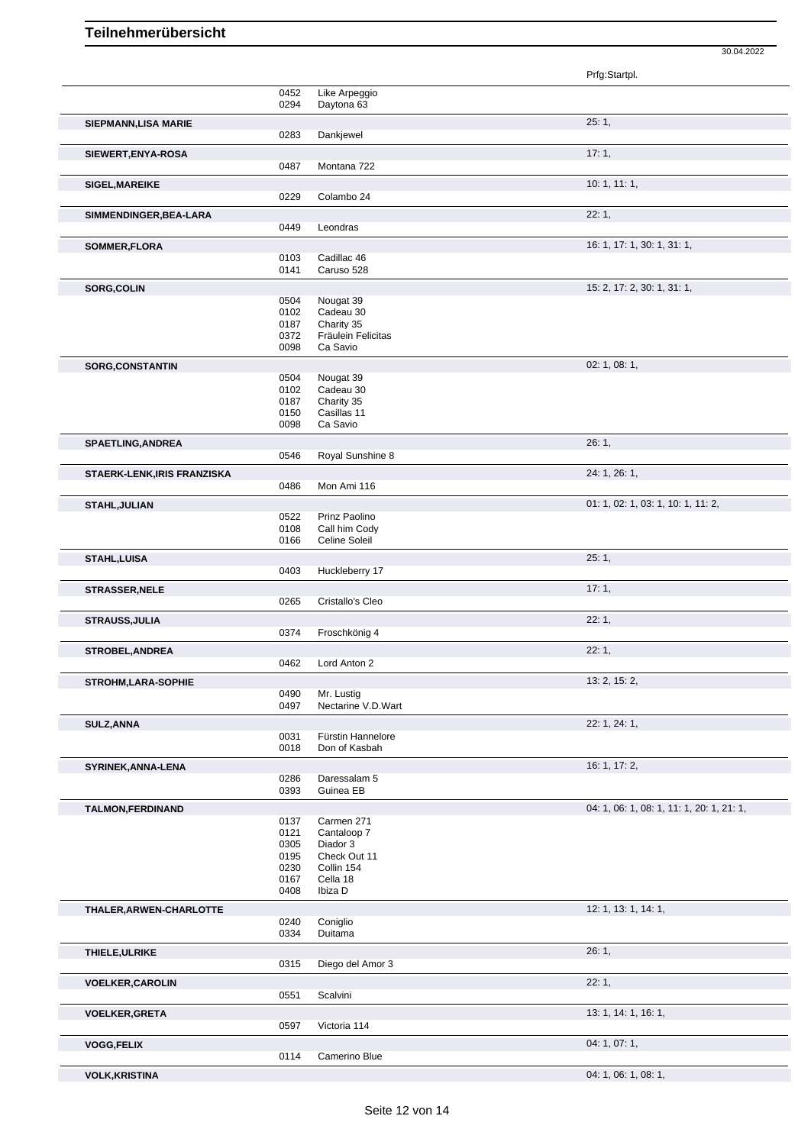|                             |              |                         | Prfg:Startpl.                             |
|-----------------------------|--------------|-------------------------|-------------------------------------------|
|                             | 0452         | Like Arpeggio           |                                           |
|                             | 0294         | Daytona 63              |                                           |
| SIEPMANN, LISA MARIE        | 0283         | Dankjewel               | 25:1,                                     |
|                             |              |                         |                                           |
| SIEWERT, ENYA-ROSA          |              |                         | 17:1,                                     |
|                             | 0487         | Montana 722             |                                           |
| <b>SIGEL, MAREIKE</b>       |              |                         | 10:1, 11:1,                               |
|                             | 0229         | Colambo 24              |                                           |
| SIMMENDINGER, BEA-LARA      |              |                         | 22:1,                                     |
|                             | 0449         | Leondras                |                                           |
| SOMMER, FLORA               |              |                         | 16: 1, 17: 1, 30: 1, 31: 1,               |
|                             | 0103         | Cadillac 46             |                                           |
|                             | 0141         | Caruso 528              |                                           |
| SORG, COLIN                 |              |                         | 15: 2, 17: 2, 30: 1, 31: 1,               |
|                             | 0504         | Nougat 39               |                                           |
|                             | 0102<br>0187 | Cadeau 30<br>Charity 35 |                                           |
|                             | 0372         | Fräulein Felicitas      |                                           |
|                             | 0098         | Ca Savio                |                                           |
| <b>SORG, CONSTANTIN</b>     |              |                         | 02: 1, 08: 1,                             |
|                             | 0504         | Nougat 39               |                                           |
|                             | 0102         | Cadeau 30               |                                           |
|                             | 0187         | Charity 35              |                                           |
|                             | 0150         | Casillas 11             |                                           |
|                             | 0098         | Ca Savio                |                                           |
| <b>SPAETLING, ANDREA</b>    |              |                         | 26:1,                                     |
|                             | 0546         | Royal Sunshine 8        |                                           |
| STAERK-LENK, IRIS FRANZISKA |              |                         | 24: 1, 26: 1,                             |
|                             | 0486         | Mon Ami 116             |                                           |
| <b>STAHL, JULIAN</b>        |              |                         | 01: 1, 02: 1, 03: 1, 10: 1, 11: 2,        |
|                             | 0522         | Prinz Paolino           |                                           |
|                             | 0108         | Call him Cody           |                                           |
|                             | 0166         | Celine Soleil           |                                           |
| <b>STAHL, LUISA</b>         |              |                         | 25:1,                                     |
|                             | 0403         | Huckleberry 17          |                                           |
| <b>STRASSER, NELE</b>       |              |                         | 17:1,                                     |
|                             | 0265         | Cristallo's Cleo        |                                           |
| STRAUSS, JULIA              |              |                         | 22:1,                                     |
|                             | 0374         | Froschkönig 4           |                                           |
| <b>STROBEL, ANDREA</b>      |              |                         | 22:1,                                     |
|                             | 0462         | Lord Anton 2            |                                           |
|                             |              |                         | 13: 2, 15: 2,                             |
| <b>STROHM,LARA-SOPHIE</b>   | 0490         | Mr. Lustig              |                                           |
|                             | 0497         | Nectarine V.D.Wart      |                                           |
| SULZ, ANNA                  |              |                         | 22: 1, 24: 1,                             |
|                             | 0031         | Fürstin Hannelore       |                                           |
|                             | 0018         | Don of Kasbah           |                                           |
| SYRINEK, ANNA-LENA          |              |                         | 16: 1, 17: 2,                             |
|                             | 0286         | Daressalam 5            |                                           |
|                             | 0393         | Guinea EB               |                                           |
| TALMON, FERDINAND           |              |                         | 04: 1, 06: 1, 08: 1, 11: 1, 20: 1, 21: 1, |
|                             | 0137         | Carmen 271              |                                           |
|                             | 0121         | Cantaloop 7             |                                           |
|                             | 0305         | Diador 3                |                                           |
|                             | 0195         | Check Out 11            |                                           |
|                             | 0230<br>0167 | Collin 154<br>Cella 18  |                                           |
|                             | 0408         | Ibiza D                 |                                           |
|                             |              |                         | 12: 1, 13: 1, 14: 1,                      |
| THALER, ARWEN-CHARLOTTE     | 0240         | Coniglio                |                                           |
|                             | 0334         | Duitama                 |                                           |
|                             |              |                         | 26:1,                                     |
| THIELE, ULRIKE              | 0315         | Diego del Amor 3        |                                           |
|                             |              |                         |                                           |
| <b>VOELKER, CAROLIN</b>     |              |                         | 22:1,                                     |
|                             | 0551         | Scalvini                |                                           |
| <b>VOELKER, GRETA</b>       |              |                         | 13: 1, 14: 1, 16: 1,                      |
|                             | 0597         | Victoria 114            |                                           |
| <b>VOGG,FELIX</b>           |              |                         | 04: 1, 07: 1,                             |
|                             | 0114         | Camerino Blue           |                                           |
| <b>VOLK, KRISTINA</b>       |              |                         | 04: 1, 06: 1, 08: 1,                      |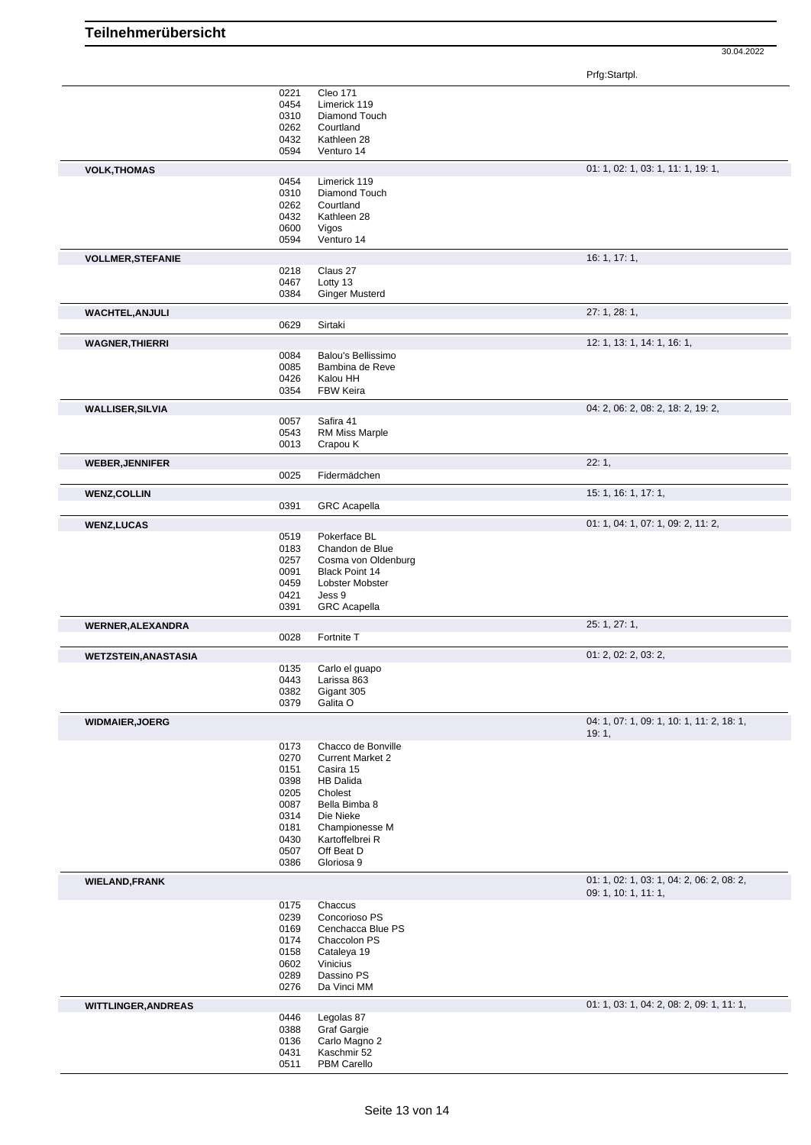| Teilnehmerübersicht |  |
|---------------------|--|
|---------------------|--|

Prfg:Startpl.

|                             | 0221         | <b>Cleo 171</b>            |                                           |
|-----------------------------|--------------|----------------------------|-------------------------------------------|
|                             | 0454         | Limerick 119               |                                           |
|                             | 0310         | Diamond Touch              |                                           |
|                             | 0262         | Courtland                  |                                           |
|                             | 0432         | Kathleen 28                |                                           |
|                             | 0594         | Venturo 14                 |                                           |
|                             |              |                            |                                           |
| <b>VOLK, THOMAS</b>         |              |                            | 01: 1, 02: 1, 03: 1, 11: 1, 19: 1,        |
|                             | 0454         | Limerick 119               |                                           |
|                             | 0310         | Diamond Touch              |                                           |
|                             | 0262         | Courtland                  |                                           |
|                             |              |                            |                                           |
|                             | 0432         | Kathleen 28                |                                           |
|                             | 0600         | Vigos                      |                                           |
|                             | 0594         | Venturo 14                 |                                           |
| <b>VOLLMER, STEFANIE</b>    |              |                            | 16: 1, 17: 1,                             |
|                             |              |                            |                                           |
|                             | 0218         | Claus 27                   |                                           |
|                             | 0467         | Lotty 13                   |                                           |
|                             | 0384         | <b>Ginger Musterd</b>      |                                           |
| <b>WACHTEL, ANJULI</b>      |              |                            | 27: 1, 28: 1,                             |
|                             |              |                            |                                           |
|                             | 0629         | Sirtaki                    |                                           |
| <b>WAGNER, THIERRI</b>      |              |                            | 12: 1, 13: 1, 14: 1, 16: 1,               |
|                             | 0084         | Balou's Bellissimo         |                                           |
|                             |              |                            |                                           |
|                             | 0085         | Bambina de Reve            |                                           |
|                             | 0426         | Kalou HH                   |                                           |
|                             | 0354         | <b>FBW Keira</b>           |                                           |
|                             |              |                            | 04: 2, 06: 2, 08: 2, 18: 2, 19: 2,        |
| <b>WALLISER, SILVIA</b>     |              |                            |                                           |
|                             | 0057         | Safira 41                  |                                           |
|                             | 0543         | <b>RM Miss Marple</b>      |                                           |
|                             | 0013         | Crapou K                   |                                           |
|                             |              |                            |                                           |
| <b>WEBER, JENNIFER</b>      |              |                            | 22:1,                                     |
|                             | 0025         | Fidermädchen               |                                           |
| <b>WENZ, COLLIN</b>         |              |                            | 15: 1, 16: 1, 17: 1,                      |
|                             | 0391         | <b>GRC</b> Acapella        |                                           |
|                             |              |                            |                                           |
| <b>WENZ,LUCAS</b>           |              |                            | 01: 1, 04: 1, 07: 1, 09: 2, 11: 2,        |
|                             | 0519         | Pokerface BL               |                                           |
|                             | 0183         | Chandon de Blue            |                                           |
|                             | 0257         | Cosma von Oldenburg        |                                           |
|                             |              |                            |                                           |
|                             | 0091         | <b>Black Point 14</b>      |                                           |
|                             | 0459         | Lobster Mobster            |                                           |
|                             |              | Jess 9                     |                                           |
|                             | 0421         |                            |                                           |
|                             | 0391         | <b>GRC</b> Acapella        |                                           |
|                             |              |                            |                                           |
| <b>WERNER, ALEXANDRA</b>    |              |                            | 25: 1, 27: 1,                             |
|                             | 0028         | Fortnite T                 |                                           |
| <b>WETZSTEIN, ANASTASIA</b> |              |                            | 01: 2, 02: 2, 03: 2,                      |
|                             |              |                            |                                           |
|                             | 0135         | Carlo el guapo             |                                           |
|                             | 0443         | Larissa 863                |                                           |
|                             | 0382         | Gigant 305                 |                                           |
|                             | 0379         | Galita O                   |                                           |
|                             |              |                            |                                           |
| <b>WIDMAIER, JOERG</b>      |              |                            | 04: 1, 07: 1, 09: 1, 10: 1, 11: 2, 18: 1, |
|                             |              |                            | 19:1,                                     |
|                             | 0173         | Chacco de Bonville         |                                           |
|                             | 0270         | <b>Current Market 2</b>    |                                           |
|                             | 0151         | Casira 15                  |                                           |
|                             | 0398         | <b>HB Dalida</b>           |                                           |
|                             |              |                            |                                           |
|                             | 0205         | Cholest                    |                                           |
|                             | 0087         | Bella Bimba 8              |                                           |
|                             | 0314         | Die Nieke                  |                                           |
|                             | 0181         | Championesse M             |                                           |
|                             | 0430         | Kartoffelbrei R            |                                           |
|                             | 0507         | Off Beat D                 |                                           |
|                             | 0386         | Gloriosa 9                 |                                           |
|                             |              |                            |                                           |
| <b>WIELAND, FRANK</b>       |              |                            | 01: 1, 02: 1, 03: 1, 04: 2, 06: 2, 08: 2, |
|                             |              |                            | 09: 1, 10: 1, 11: 1,                      |
|                             | 0175         | Chaccus                    |                                           |
|                             | 0239         | Concorioso PS              |                                           |
|                             |              |                            |                                           |
|                             | 0169         | Cenchacca Blue PS          |                                           |
|                             | 0174         | Chaccolon PS               |                                           |
|                             | 0158         | Cataleya 19                |                                           |
|                             | 0602         | Vinicius                   |                                           |
|                             | 0289         | Dassino PS                 |                                           |
|                             | 0276         | Da Vinci MM                |                                           |
|                             |              |                            |                                           |
| <b>WITTLINGER, ANDREAS</b>  |              |                            | 01: 1, 03: 1, 04: 2, 08: 2, 09: 1, 11: 1, |
|                             | 0446         | Legolas 87                 |                                           |
|                             | 0388         | <b>Graf Gargie</b>         |                                           |
|                             | 0136         | Carlo Magno 2              |                                           |
|                             | 0431<br>0511 | Kaschmir 52<br>PBM Carello |                                           |